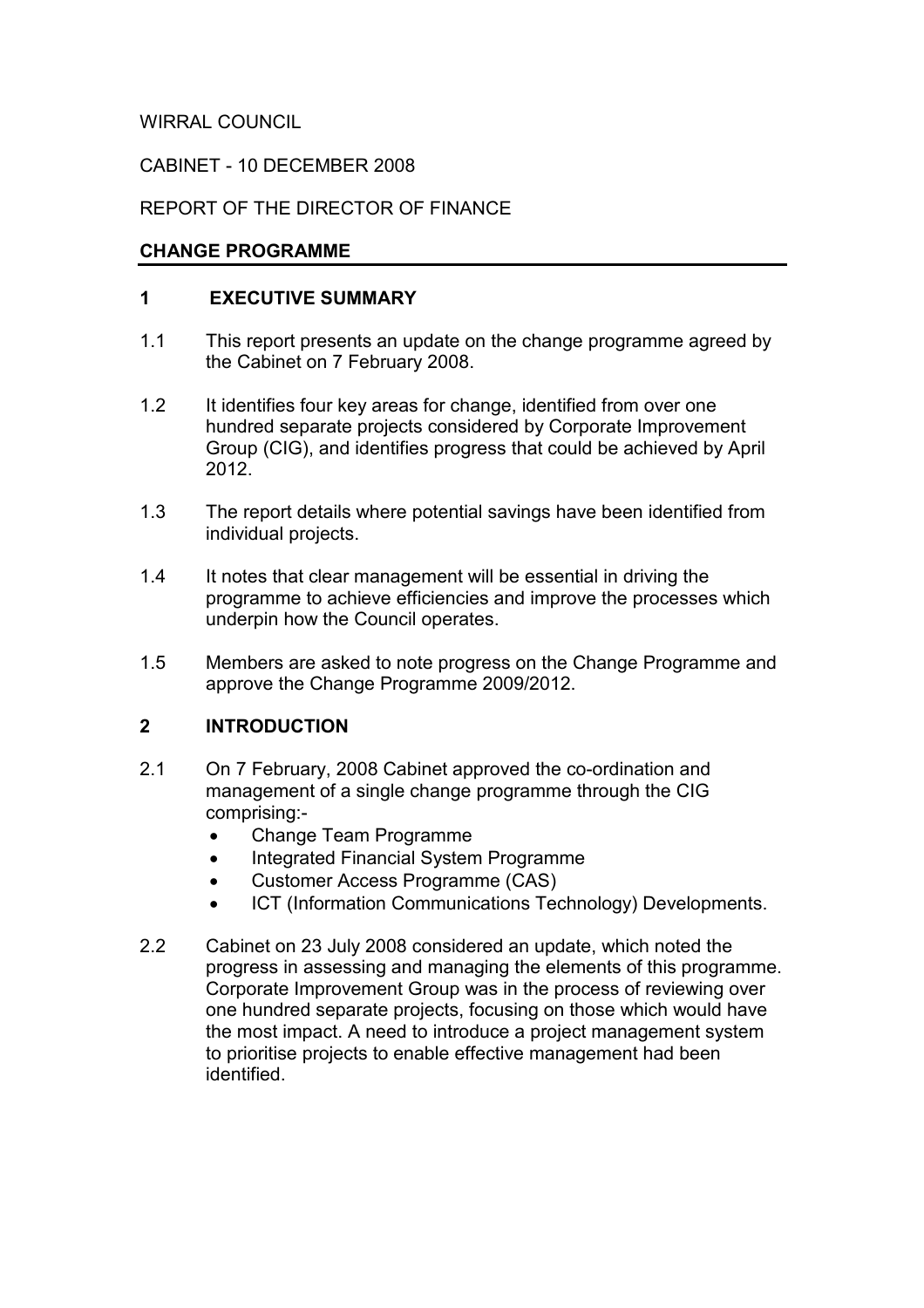WIRRAL COUNCIL

CABINET - 10 DECEMBER 2008

# REPORT OF THE DIRECTOR OF FINANCE

### CHANGE PROGRAMME

### 1 EXECUTIVE SUMMARY

- 1.1 This report presents an update on the change programme agreed by the Cabinet on 7 February 2008.
- 1.2 It identifies four key areas for change, identified from over one hundred separate projects considered by Corporate Improvement Group (CIG), and identifies progress that could be achieved by April 2012.
- 1.3 The report details where potential savings have been identified from individual projects.
- 1.4 It notes that clear management will be essential in driving the programme to achieve efficiencies and improve the processes which underpin how the Council operates.
- 1.5 Members are asked to note progress on the Change Programme and approve the Change Programme 2009/2012.

# 2 INTRODUCTION

- 2.1 On 7 February, 2008 Cabinet approved the co-ordination and management of a single change programme through the CIG comprising:-
	- Change Team Programme
	- Integrated Financial System Programme
	- Customer Access Programme (CAS)
	- ICT (Information Communications Technology) Developments.
- 2.2 Cabinet on 23 July 2008 considered an update, which noted the progress in assessing and managing the elements of this programme. Corporate Improvement Group was in the process of reviewing over one hundred separate projects, focusing on those which would have the most impact. A need to introduce a project management system to prioritise projects to enable effective management had been identified.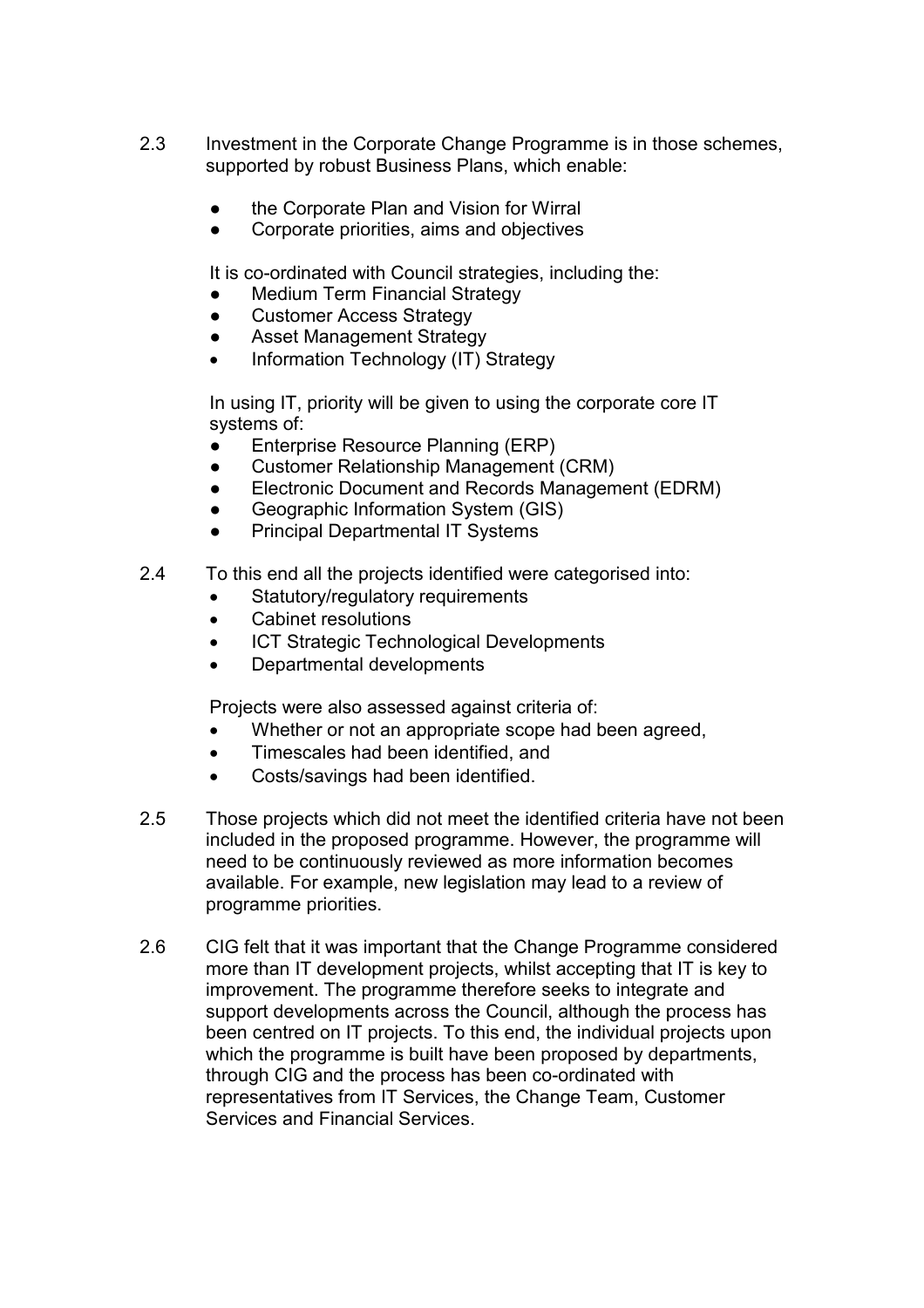- 2.3 Investment in the Corporate Change Programme is in those schemes, supported by robust Business Plans, which enable:
	- the Corporate Plan and Vision for Wirral
	- Corporate priorities, aims and objectives

It is co-ordinated with Council strategies, including the:

- **Medium Term Financial Strategy**
- Customer Access Strategy
- Asset Management Strategy
- Information Technology (IT) Strategy

In using IT, priority will be given to using the corporate core IT systems of:

- Enterprise Resource Planning (ERP)
- Customer Relationship Management (CRM)
- Electronic Document and Records Management (EDRM)
- Geographic Information System (GIS)
- **Principal Departmental IT Systems**
- 2.4 To this end all the projects identified were categorised into:
	- Statutory/regulatory requirements
	- Cabinet resolutions
	- ICT Strategic Technological Developments
	- Departmental developments

Projects were also assessed against criteria of:

- Whether or not an appropriate scope had been agreed,
- Timescales had been identified, and
- Costs/savings had been identified.
- 2.5 Those projects which did not meet the identified criteria have not been included in the proposed programme. However, the programme will need to be continuously reviewed as more information becomes available. For example, new legislation may lead to a review of programme priorities.
- 2.6 CIG felt that it was important that the Change Programme considered more than IT development projects, whilst accepting that IT is key to improvement. The programme therefore seeks to integrate and support developments across the Council, although the process has been centred on IT projects. To this end, the individual projects upon which the programme is built have been proposed by departments, through CIG and the process has been co-ordinated with representatives from IT Services, the Change Team, Customer Services and Financial Services.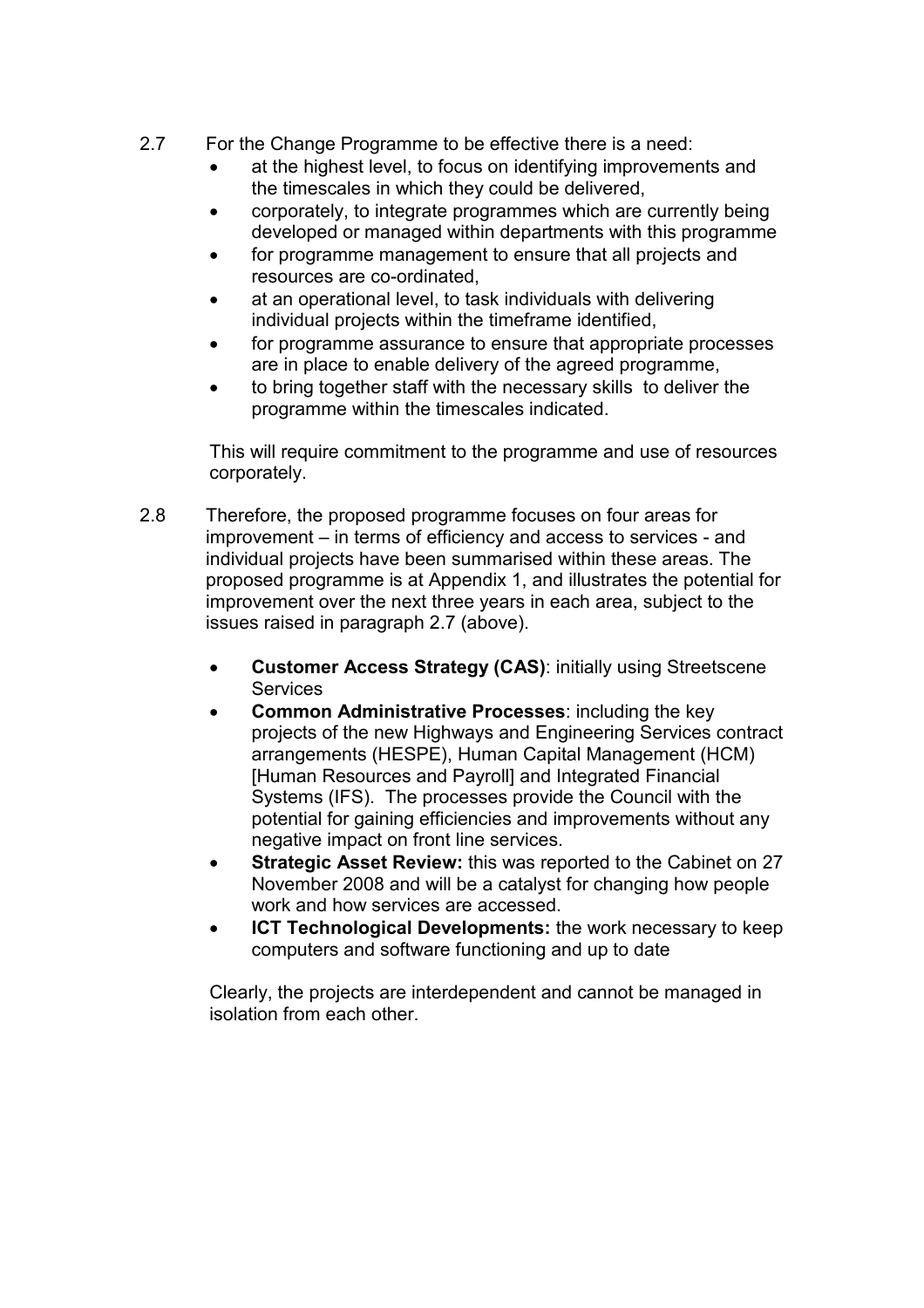- 2.7 For the Change Programme to be effective there is a need:
	- at the highest level, to focus on identifying improvements and the timescales in which they could be delivered,
	- corporately, to integrate programmes which are currently being developed or managed within departments with this programme
	- for programme management to ensure that all projects and resources are co-ordinated,
	- at an operational level, to task individuals with delivering individual projects within the timeframe identified,
	- for programme assurance to ensure that appropriate processes are in place to enable delivery of the agreed programme,
	- to bring together staff with the necessary skills to deliver the programme within the timescales indicated.

This will require commitment to the programme and use of resources corporately.

- 2.8 Therefore, the proposed programme focuses on four areas for improvement – in terms of efficiency and access to services - and individual projects have been summarised within these areas. The proposed programme is at Appendix 1, and illustrates the potential for improvement over the next three years in each area, subject to the issues raised in paragraph 2.7 (above).
	- Customer Access Strategy (CAS): initially using Streetscene **Services**
	- Common Administrative Processes: including the key projects of the new Highways and Engineering Services contract arrangements (HESPE), Human Capital Management (HCM) [Human Resources and Payroll] and Integrated Financial Systems (IFS). The processes provide the Council with the potential for gaining efficiencies and improvements without any negative impact on front line services.
	- Strategic Asset Review: this was reported to the Cabinet on 27 November 2008 and will be a catalyst for changing how people work and how services are accessed.
	- **ICT Technological Developments:** the work necessary to keep computers and software functioning and up to date

Clearly, the projects are interdependent and cannot be managed in isolation from each other.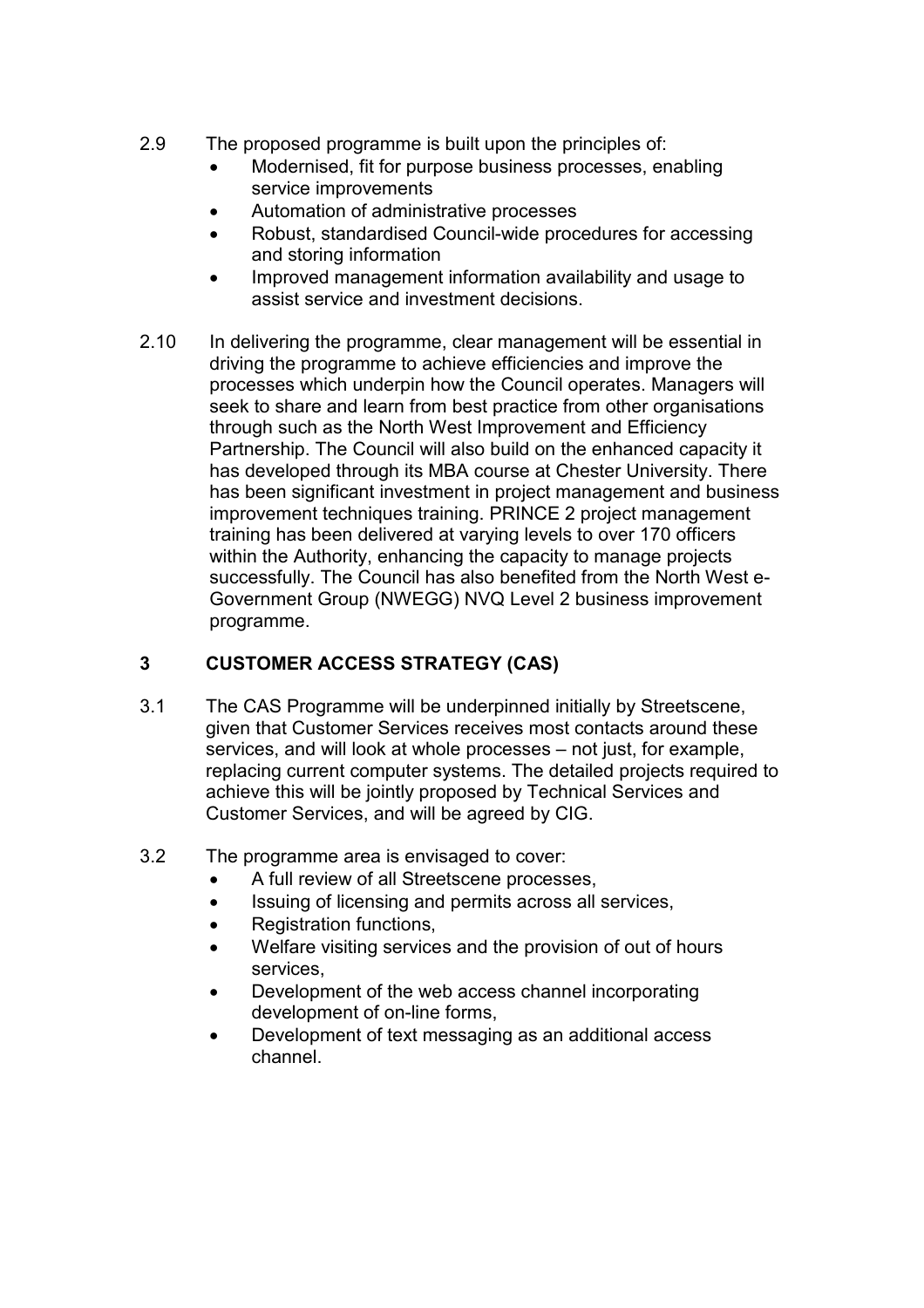- 2.9 The proposed programme is built upon the principles of:
	- Modernised, fit for purpose business processes, enabling service improvements
	- Automation of administrative processes
	- Robust, standardised Council-wide procedures for accessing and storing information
	- Improved management information availability and usage to assist service and investment decisions.
- 2.10 In delivering the programme, clear management will be essential in driving the programme to achieve efficiencies and improve the processes which underpin how the Council operates. Managers will seek to share and learn from best practice from other organisations through such as the North West Improvement and Efficiency Partnership. The Council will also build on the enhanced capacity it has developed through its MBA course at Chester University. There has been significant investment in project management and business improvement techniques training. PRINCE 2 project management training has been delivered at varying levels to over 170 officers within the Authority, enhancing the capacity to manage projects successfully. The Council has also benefited from the North West e-Government Group (NWEGG) NVQ Level 2 business improvement programme.

# 3 CUSTOMER ACCESS STRATEGY (CAS)

- 3.1 The CAS Programme will be underpinned initially by Streetscene, given that Customer Services receives most contacts around these services, and will look at whole processes – not just, for example, replacing current computer systems. The detailed projects required to achieve this will be jointly proposed by Technical Services and Customer Services, and will be agreed by CIG.
- 3.2 The programme area is envisaged to cover:
	- A full review of all Streetscene processes,
	- Issuing of licensing and permits across all services,
	- Registration functions.
	- Welfare visiting services and the provision of out of hours services,
	- Development of the web access channel incorporating development of on-line forms,
	- Development of text messaging as an additional access channel.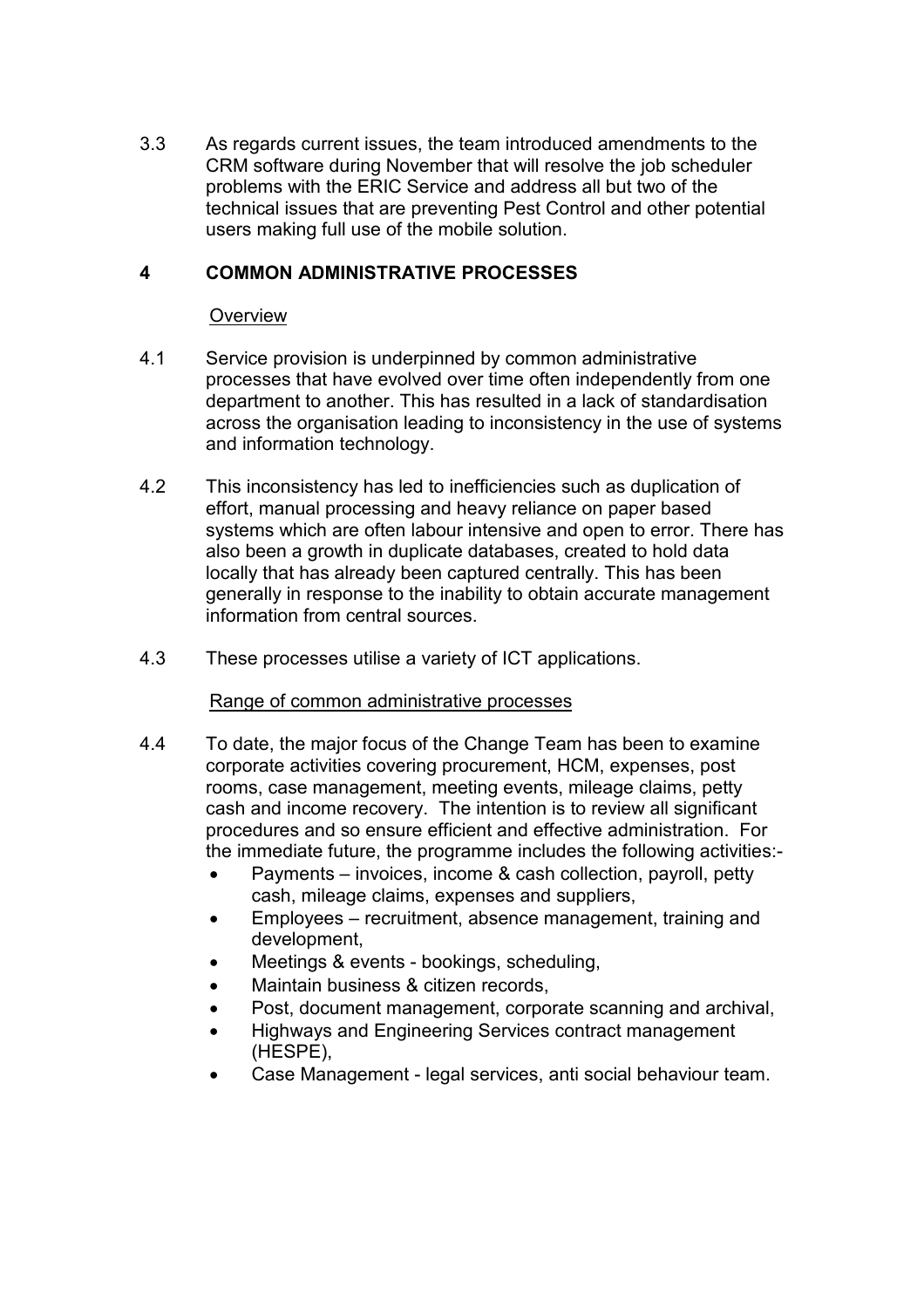3.3 As regards current issues, the team introduced amendments to the CRM software during November that will resolve the job scheduler problems with the ERIC Service and address all but two of the technical issues that are preventing Pest Control and other potential users making full use of the mobile solution.

### 4 COMMON ADMINISTRATIVE PROCESSES

#### **Overview**

- 4.1 Service provision is underpinned by common administrative processes that have evolved over time often independently from one department to another. This has resulted in a lack of standardisation across the organisation leading to inconsistency in the use of systems and information technology.
- 4.2 This inconsistency has led to inefficiencies such as duplication of effort, manual processing and heavy reliance on paper based systems which are often labour intensive and open to error. There has also been a growth in duplicate databases, created to hold data locally that has already been captured centrally. This has been generally in response to the inability to obtain accurate management information from central sources.
- 4.3 These processes utilise a variety of ICT applications.

#### Range of common administrative processes

- 4.4 To date, the major focus of the Change Team has been to examine corporate activities covering procurement, HCM, expenses, post rooms, case management, meeting events, mileage claims, petty cash and income recovery. The intention is to review all significant procedures and so ensure efficient and effective administration. For the immediate future, the programme includes the following activities:-
	- Payments invoices, income & cash collection, payroll, petty cash, mileage claims, expenses and suppliers,
	- Employees recruitment, absence management, training and development,
	- Meetings & events bookings, scheduling,
	- Maintain business & citizen records.
	- Post, document management, corporate scanning and archival,
	- Highways and Engineering Services contract management (HESPE),
	- Case Management legal services, anti social behaviour team.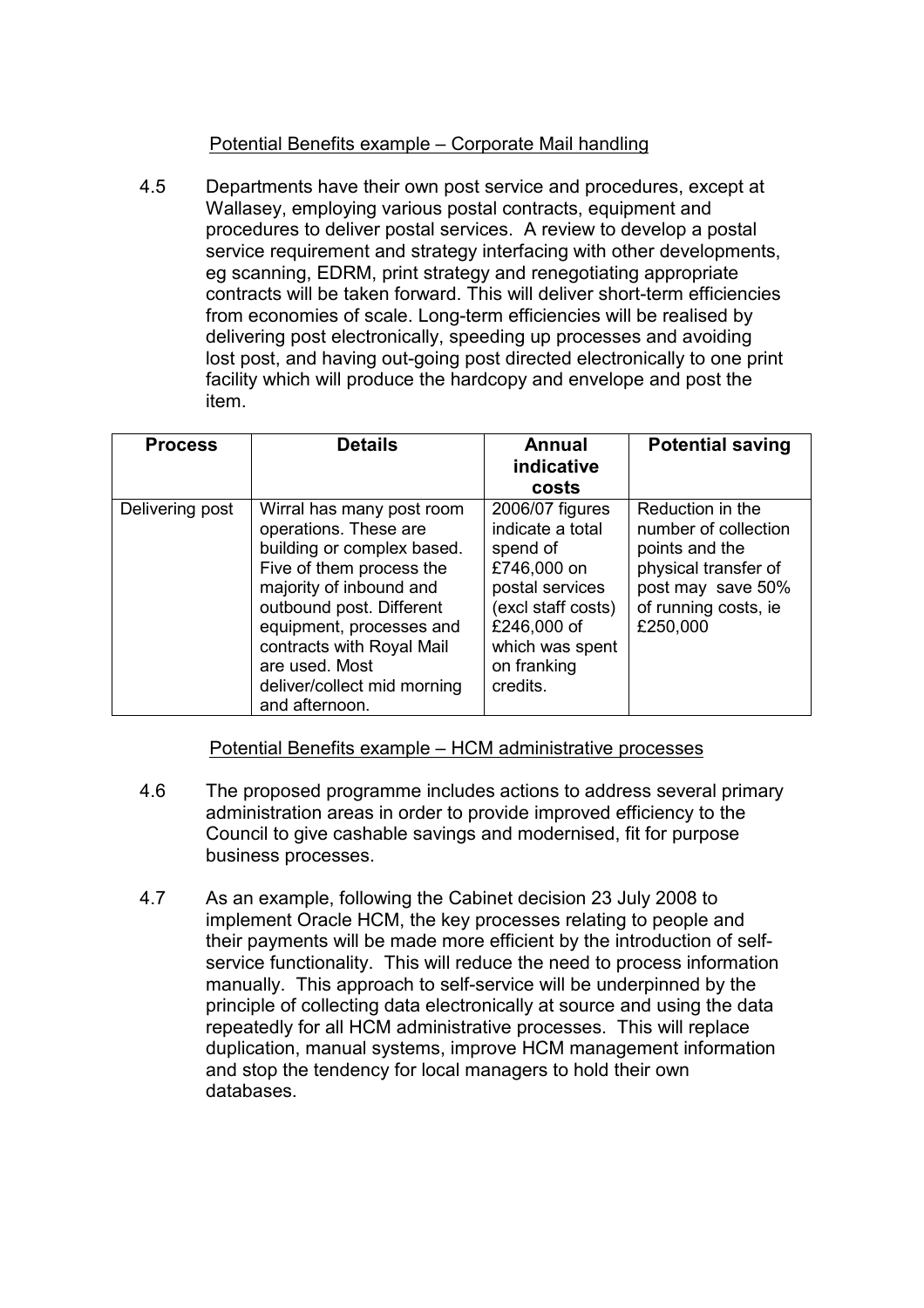# Potential Benefits example – Corporate Mail handling

4.5 Departments have their own post service and procedures, except at Wallasey, employing various postal contracts, equipment and procedures to deliver postal services. A review to develop a postal service requirement and strategy interfacing with other developments, eg scanning, EDRM, print strategy and renegotiating appropriate contracts will be taken forward. This will deliver short-term efficiencies from economies of scale. Long-term efficiencies will be realised by delivering post electronically, speeding up processes and avoiding lost post, and having out-going post directed electronically to one print facility which will produce the hardcopy and envelope and post the item.

| <b>Process</b>  | <b>Details</b>                                                                                                                                                                                                                                                                                  | Annual<br>indicative<br>costs                                                                                                                                        | <b>Potential saving</b>                                                                                                                     |
|-----------------|-------------------------------------------------------------------------------------------------------------------------------------------------------------------------------------------------------------------------------------------------------------------------------------------------|----------------------------------------------------------------------------------------------------------------------------------------------------------------------|---------------------------------------------------------------------------------------------------------------------------------------------|
| Delivering post | Wirral has many post room<br>operations. These are<br>building or complex based.<br>Five of them process the<br>majority of inbound and<br>outbound post. Different<br>equipment, processes and<br>contracts with Royal Mail<br>are used. Most<br>deliver/collect mid morning<br>and afternoon. | 2006/07 figures<br>indicate a total<br>spend of<br>£746,000 on<br>postal services<br>(excl staff costs)<br>£246,000 of<br>which was spent<br>on franking<br>credits. | Reduction in the<br>number of collection<br>points and the<br>physical transfer of<br>post may save 50%<br>of running costs, ie<br>£250,000 |

# Potential Benefits example – HCM administrative processes

- 4.6 The proposed programme includes actions to address several primary administration areas in order to provide improved efficiency to the Council to give cashable savings and modernised, fit for purpose business processes.
- 4.7 As an example, following the Cabinet decision 23 July 2008 to implement Oracle HCM, the key processes relating to people and their payments will be made more efficient by the introduction of selfservice functionality. This will reduce the need to process information manually. This approach to self-service will be underpinned by the principle of collecting data electronically at source and using the data repeatedly for all HCM administrative processes. This will replace duplication, manual systems, improve HCM management information and stop the tendency for local managers to hold their own databases.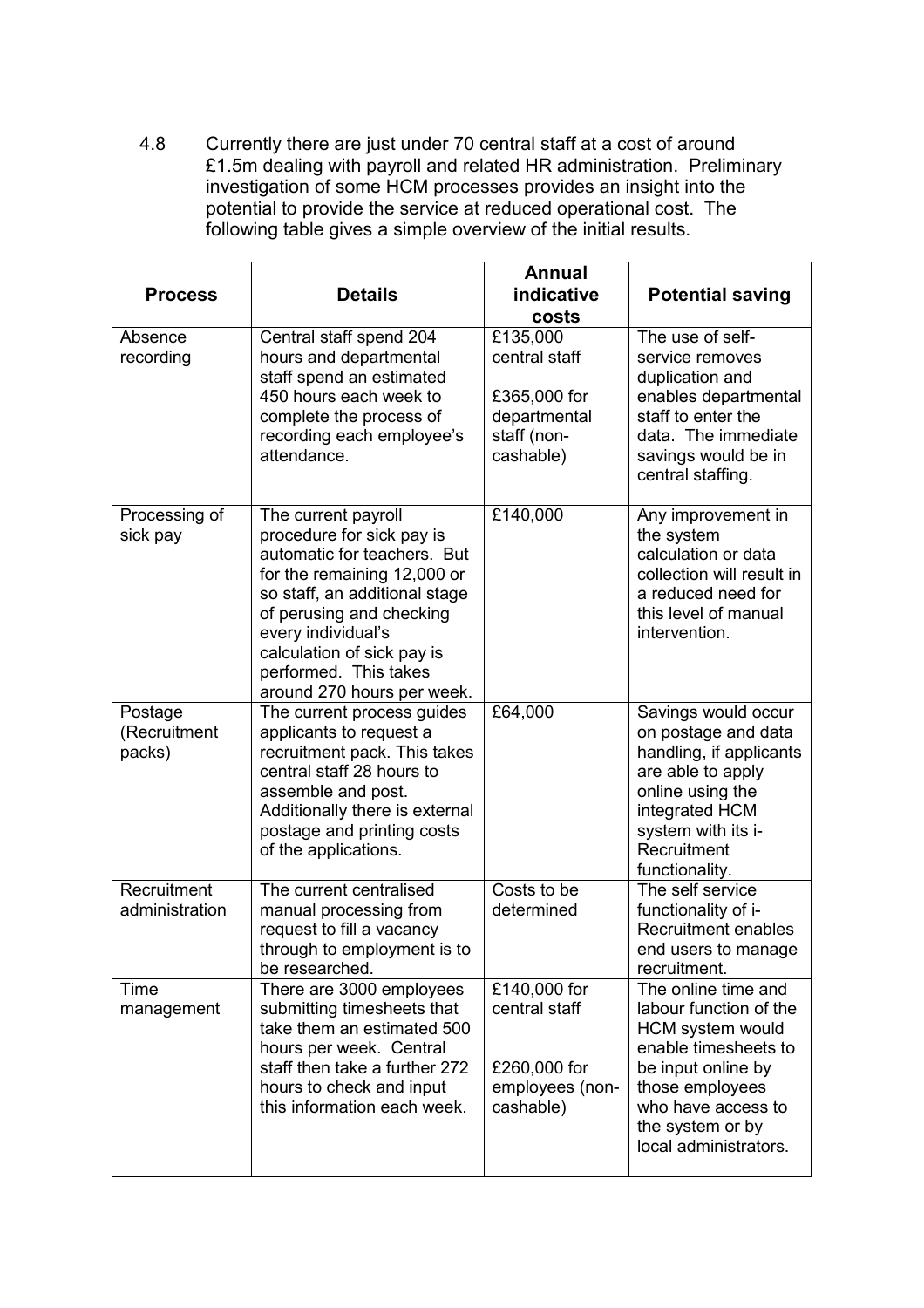4.8 Currently there are just under 70 central staff at a cost of around £1.5m dealing with payroll and related HR administration. Preliminary investigation of some HCM processes provides an insight into the potential to provide the service at reduced operational cost. The following table gives a simple overview of the initial results.

| <b>Process</b>                    | <b>Details</b>                                                                                                                                                                                                                                                                         | <b>Annual</b><br>indicative<br>costs                                                  | <b>Potential saving</b>                                                                                                                                                                               |
|-----------------------------------|----------------------------------------------------------------------------------------------------------------------------------------------------------------------------------------------------------------------------------------------------------------------------------------|---------------------------------------------------------------------------------------|-------------------------------------------------------------------------------------------------------------------------------------------------------------------------------------------------------|
| Absence<br>recording              | Central staff spend 204<br>hours and departmental<br>staff spend an estimated<br>450 hours each week to<br>complete the process of<br>recording each employee's<br>attendance.                                                                                                         | £135,000<br>central staff<br>£365,000 for<br>departmental<br>staff (non-<br>cashable) | The use of self-<br>service removes<br>duplication and<br>enables departmental<br>staff to enter the<br>data. The immediate<br>savings would be in<br>central staffing.                               |
| Processing of<br>sick pay         | The current payroll<br>procedure for sick pay is<br>automatic for teachers. But<br>for the remaining 12,000 or<br>so staff, an additional stage<br>of perusing and checking<br>every individual's<br>calculation of sick pay is<br>performed. This takes<br>around 270 hours per week. | £140,000                                                                              | Any improvement in<br>the system<br>calculation or data<br>collection will result in<br>a reduced need for<br>this level of manual<br>intervention.                                                   |
| Postage<br>(Recruitment<br>packs) | The current process guides<br>applicants to request a<br>recruitment pack. This takes<br>central staff 28 hours to<br>assemble and post.<br>Additionally there is external<br>postage and printing costs<br>of the applications.                                                       | £64,000                                                                               | Savings would occur<br>on postage and data<br>handling, if applicants<br>are able to apply<br>online using the<br>integrated HCM<br>system with its i-<br>Recruitment<br>functionality.               |
| Recruitment<br>administration     | The current centralised<br>manual processing from<br>request to fill a vacancy<br>through to employment is to<br>be researched.                                                                                                                                                        | Costs to be<br>determined                                                             | The self service<br>functionality of i-<br><b>Recruitment enables</b><br>end users to manage<br>recruitment.                                                                                          |
| <b>Time</b><br>management         | There are 3000 employees<br>submitting timesheets that<br>take them an estimated 500<br>hours per week. Central<br>staff then take a further 272<br>hours to check and input<br>this information each week.                                                                            | £140,000 for<br>central staff<br>£260,000 for<br>employees (non-<br>cashable)         | The online time and<br>labour function of the<br>HCM system would<br>enable timesheets to<br>be input online by<br>those employees<br>who have access to<br>the system or by<br>local administrators. |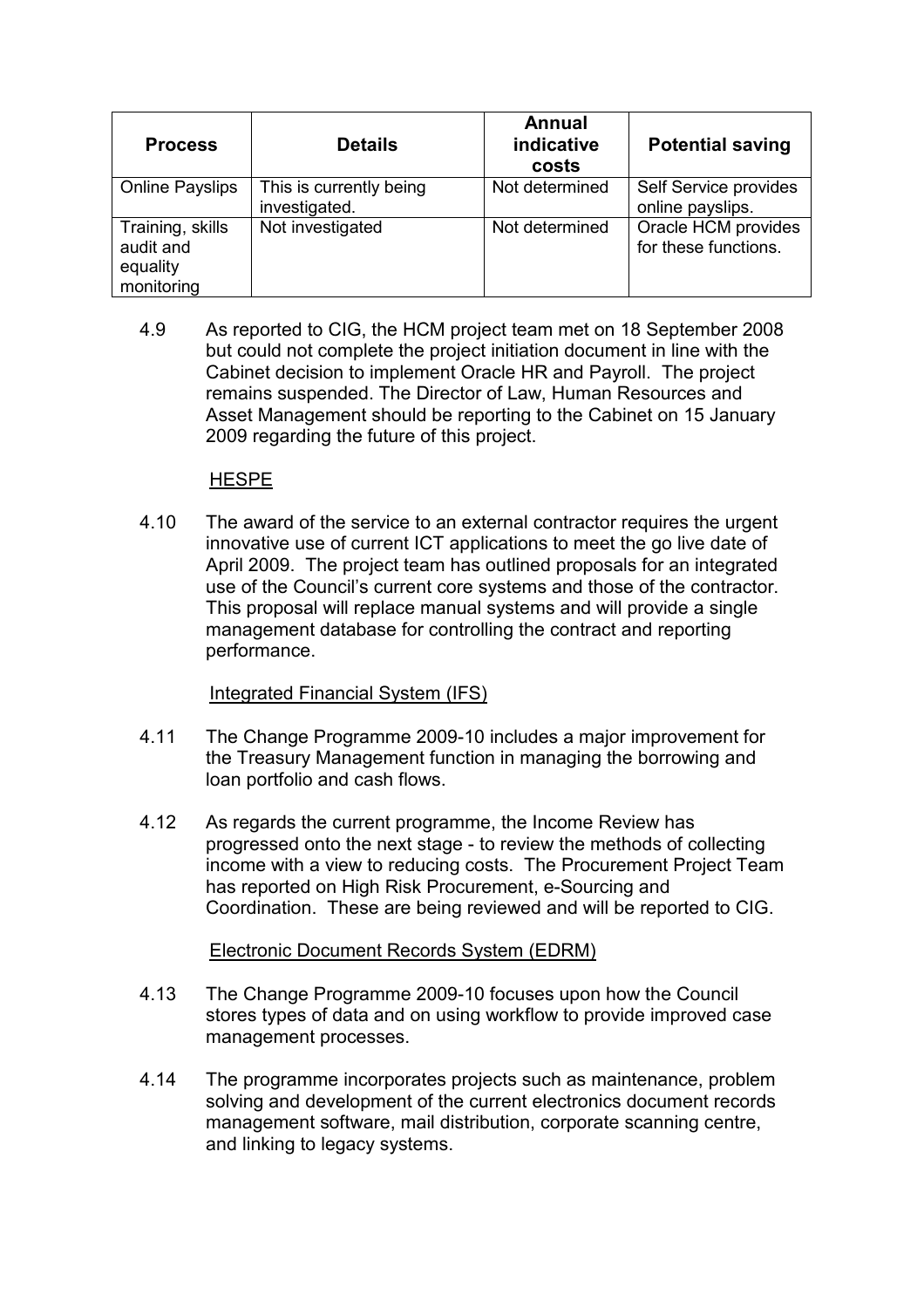| <b>Process</b>                                          | <b>Details</b>                           | <b>Annual</b><br>indicative<br>costs | <b>Potential saving</b>                     |
|---------------------------------------------------------|------------------------------------------|--------------------------------------|---------------------------------------------|
| <b>Online Payslips</b>                                  | This is currently being<br>investigated. | Not determined                       | Self Service provides<br>online payslips.   |
| Training, skills<br>audit and<br>equality<br>monitoring | Not investigated                         | Not determined                       | Oracle HCM provides<br>for these functions. |

4.9 As reported to CIG, the HCM project team met on 18 September 2008 but could not complete the project initiation document in line with the Cabinet decision to implement Oracle HR and Payroll. The project remains suspended. The Director of Law, Human Resources and Asset Management should be reporting to the Cabinet on 15 January 2009 regarding the future of this project.

### **HESPE**

4.10 The award of the service to an external contractor requires the urgent innovative use of current ICT applications to meet the go live date of April 2009. The project team has outlined proposals for an integrated use of the Council's current core systems and those of the contractor. This proposal will replace manual systems and will provide a single management database for controlling the contract and reporting performance.

# Integrated Financial System (IFS)

- 4.11 The Change Programme 2009-10 includes a major improvement for the Treasury Management function in managing the borrowing and loan portfolio and cash flows.
- 4.12 As regards the current programme, the Income Review has progressed onto the next stage - to review the methods of collecting income with a view to reducing costs. The Procurement Project Team has reported on High Risk Procurement, e-Sourcing and Coordination. These are being reviewed and will be reported to CIG.

# Electronic Document Records System (EDRM)

- 4.13 The Change Programme 2009-10 focuses upon how the Council stores types of data and on using workflow to provide improved case management processes.
- 4.14 The programme incorporates projects such as maintenance, problem solving and development of the current electronics document records management software, mail distribution, corporate scanning centre, and linking to legacy systems.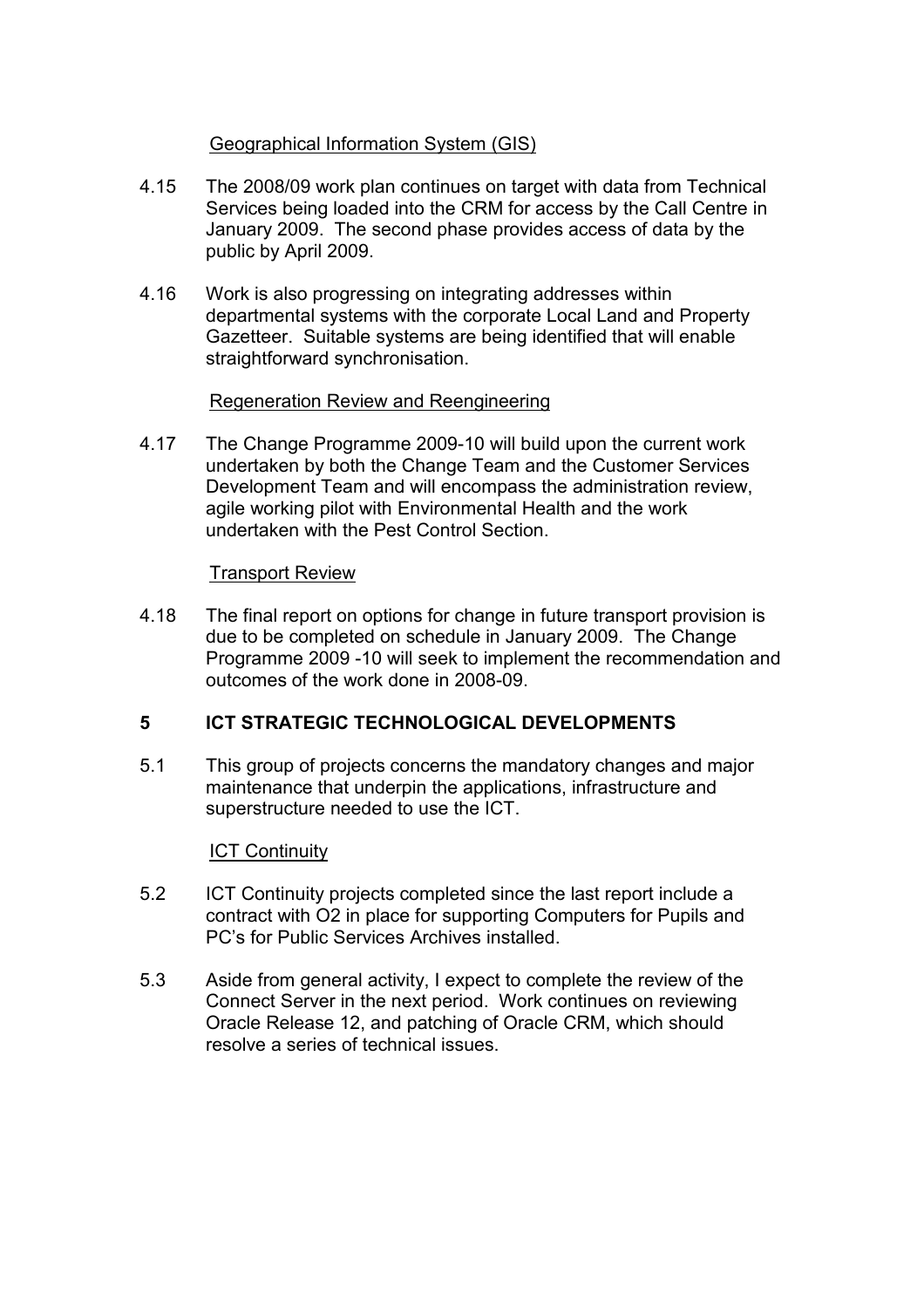### Geographical Information System (GIS)

- 4.15 The 2008/09 work plan continues on target with data from Technical Services being loaded into the CRM for access by the Call Centre in January 2009. The second phase provides access of data by the public by April 2009.
- 4.16 Work is also progressing on integrating addresses within departmental systems with the corporate Local Land and Property Gazetteer. Suitable systems are being identified that will enable straightforward synchronisation.

### Regeneration Review and Reengineering

4.17 The Change Programme 2009-10 will build upon the current work undertaken by both the Change Team and the Customer Services Development Team and will encompass the administration review, agile working pilot with Environmental Health and the work undertaken with the Pest Control Section.

#### Transport Review

4.18 The final report on options for change in future transport provision is due to be completed on schedule in January 2009. The Change Programme 2009 -10 will seek to implement the recommendation and outcomes of the work done in 2008-09.

# 5 ICT STRATEGIC TECHNOLOGICAL DEVELOPMENTS

5.1 This group of projects concerns the mandatory changes and major maintenance that underpin the applications, infrastructure and superstructure needed to use the ICT.

#### ICT Continuity

- 5.2 ICT Continuity projects completed since the last report include a contract with O2 in place for supporting Computers for Pupils and PC's for Public Services Archives installed.
- 5.3 Aside from general activity, I expect to complete the review of the Connect Server in the next period. Work continues on reviewing Oracle Release 12, and patching of Oracle CRM, which should resolve a series of technical issues.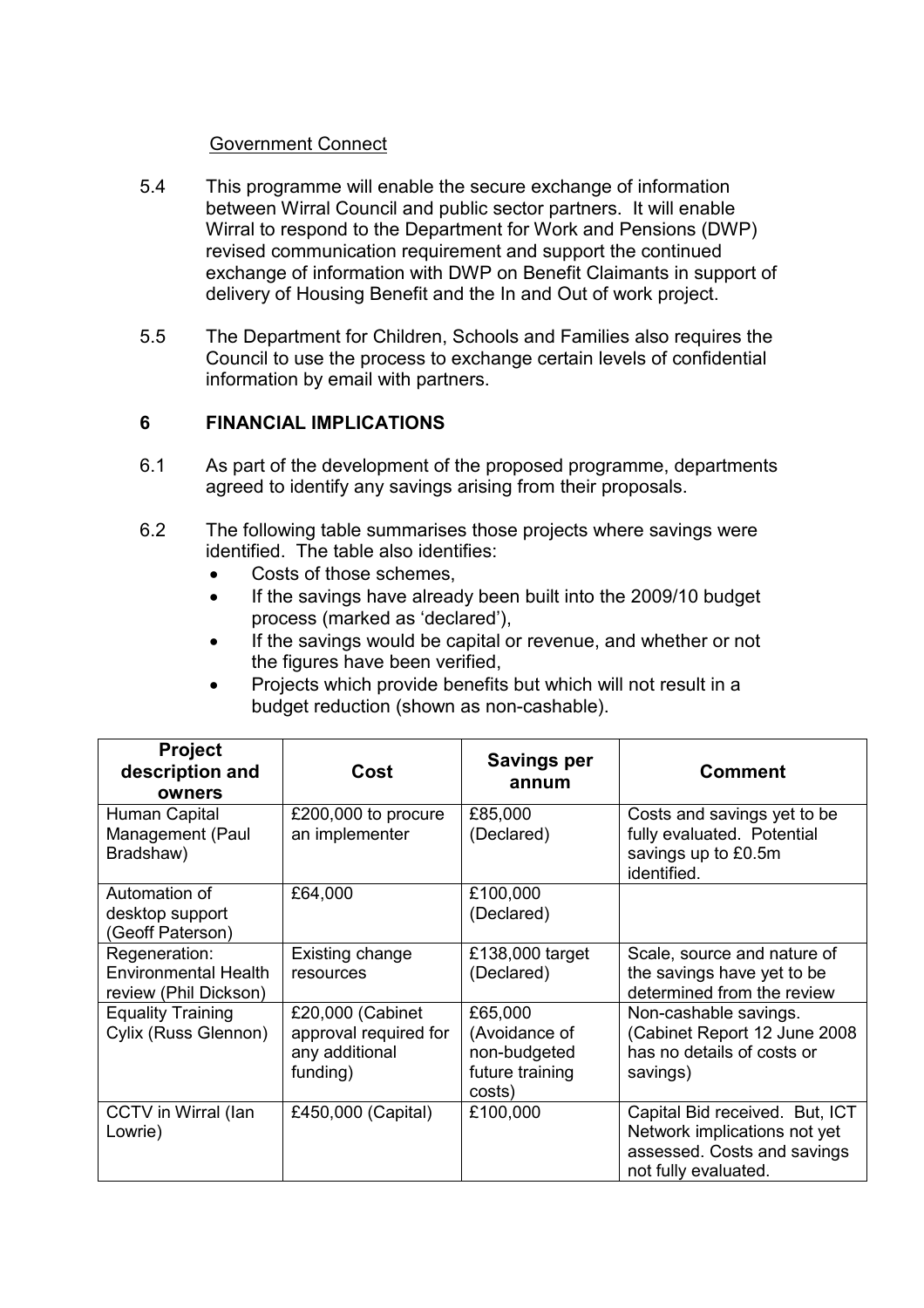### Government Connect

- 5.4 This programme will enable the secure exchange of information between Wirral Council and public sector partners. It will enable Wirral to respond to the Department for Work and Pensions (DWP) revised communication requirement and support the continued exchange of information with DWP on Benefit Claimants in support of delivery of Housing Benefit and the In and Out of work project.
- 5.5 The Department for Children, Schools and Families also requires the Council to use the process to exchange certain levels of confidential information by email with partners.

### 6 FINANCIAL IMPLICATIONS

- 6.1 As part of the development of the proposed programme, departments agreed to identify any savings arising from their proposals.
- 6.2 The following table summarises those projects where savings were identified. The table also identifies:
	- Costs of those schemes.
	- If the savings have already been built into the 2009/10 budget process (marked as 'declared'),
	- If the savings would be capital or revenue, and whether or not the figures have been verified,
	- Projects which provide benefits but which will not result in a budget reduction (shown as non-cashable).

| <b>Project</b><br>description and<br>owners                           | Cost                                                                    | <b>Savings per</b><br>annum                                           | <b>Comment</b>                                                                                                        |
|-----------------------------------------------------------------------|-------------------------------------------------------------------------|-----------------------------------------------------------------------|-----------------------------------------------------------------------------------------------------------------------|
| Human Capital<br>Management (Paul<br>Bradshaw)                        | £200,000 to procure<br>an implementer                                   | £85,000<br>(Declared)                                                 | Costs and savings yet to be<br>fully evaluated. Potential<br>savings up to £0.5m<br>identified.                       |
| Automation of<br>desktop support<br>(Geoff Paterson)                  | £64,000                                                                 | £100,000<br>(Declared)                                                |                                                                                                                       |
| Regeneration:<br><b>Environmental Health</b><br>review (Phil Dickson) | Existing change<br>resources                                            | £138,000 target<br>(Declared)                                         | Scale, source and nature of<br>the savings have yet to be<br>determined from the review                               |
| <b>Equality Training</b><br>Cylix (Russ Glennon)                      | £20,000 (Cabinet<br>approval required for<br>any additional<br>funding) | £65,000<br>(Avoidance of<br>non-budgeted<br>future training<br>costs) | Non-cashable savings.<br>(Cabinet Report 12 June 2008<br>has no details of costs or<br>savings)                       |
| CCTV in Wirral (lan<br>Lowrie)                                        | £450,000 (Capital)                                                      | £100,000                                                              | Capital Bid received. But, ICT<br>Network implications not yet<br>assessed. Costs and savings<br>not fully evaluated. |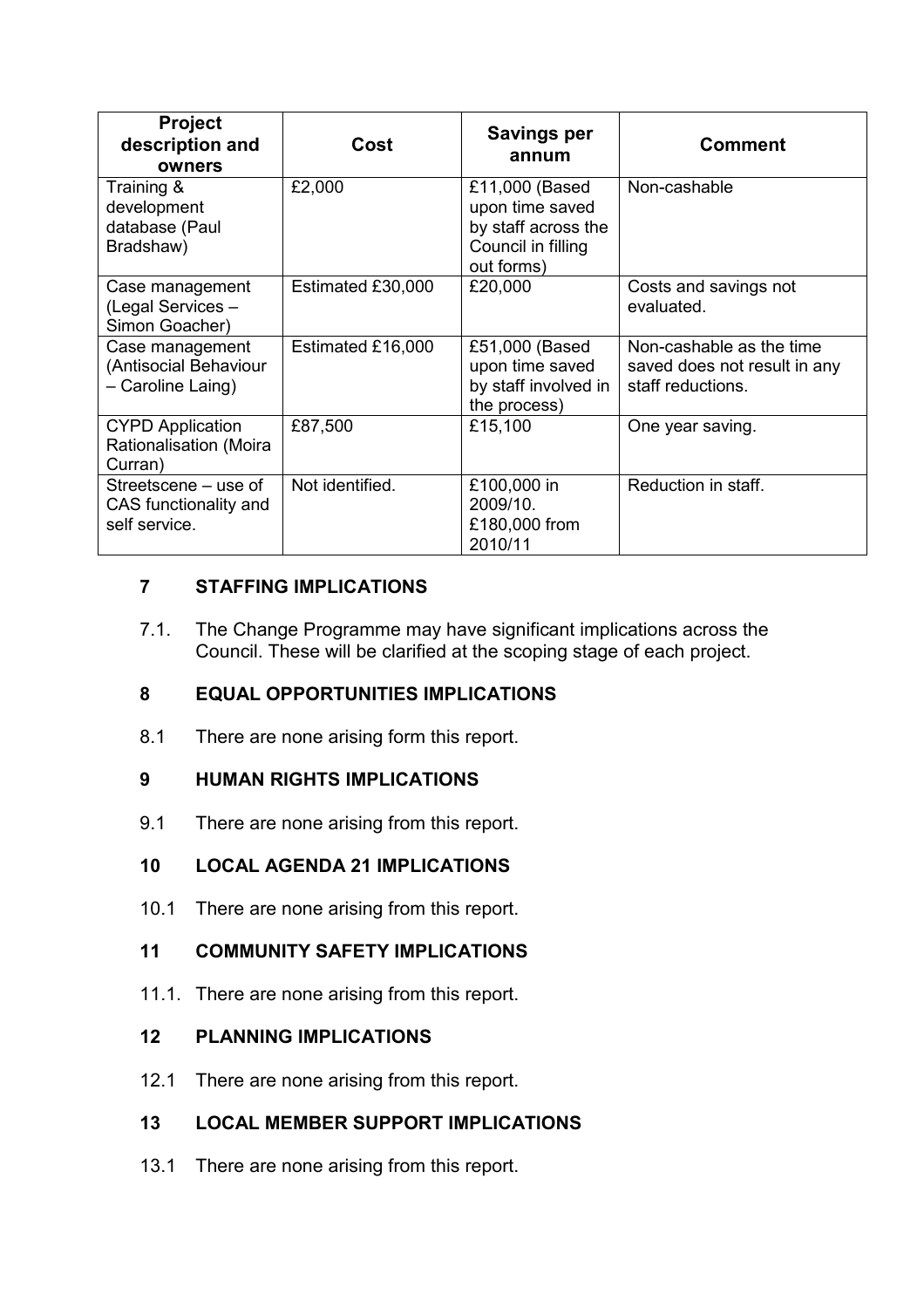| <b>Project</b><br>description and<br>owners                    | Cost              | <b>Savings per</b><br>annum                                                                  | <b>Comment</b>                                                                |
|----------------------------------------------------------------|-------------------|----------------------------------------------------------------------------------------------|-------------------------------------------------------------------------------|
| Training &<br>development<br>database (Paul<br>Bradshaw)       | £2,000            | £11,000 (Based<br>upon time saved<br>by staff across the<br>Council in filling<br>out forms) | Non-cashable                                                                  |
| Case management<br>(Legal Services -<br>Simon Goacher)         | Estimated £30,000 | £20,000                                                                                      | Costs and savings not<br>evaluated.                                           |
| Case management<br>(Antisocial Behaviour<br>- Caroline Laing)  | Estimated £16,000 | £51,000 (Based<br>upon time saved<br>by staff involved in<br>the process)                    | Non-cashable as the time<br>saved does not result in any<br>staff reductions. |
| <b>CYPD Application</b><br>Rationalisation (Moira<br>Curran)   | £87,500           | £15,100                                                                                      | One year saving.                                                              |
| Streetscene – use of<br>CAS functionality and<br>self service. | Not identified.   | £100,000 in<br>2009/10.<br>£180,000 from<br>2010/11                                          | Reduction in staff.                                                           |

# 7 STAFFING IMPLICATIONS

7.1. The Change Programme may have significant implications across the Council. These will be clarified at the scoping stage of each project.

# 8 EQUAL OPPORTUNITIES IMPLICATIONS

8.1 There are none arising form this report.

# 9 HUMAN RIGHTS IMPLICATIONS

9.1 There are none arising from this report.

# 10 LOCAL AGENDA 21 IMPLICATIONS

10.1 There are none arising from this report.

# 11 COMMUNITY SAFETY IMPLICATIONS

11.1. There are none arising from this report.

# 12 PLANNING IMPLICATIONS

12.1 There are none arising from this report.

# 13 LOCAL MEMBER SUPPORT IMPLICATIONS

13.1 There are none arising from this report.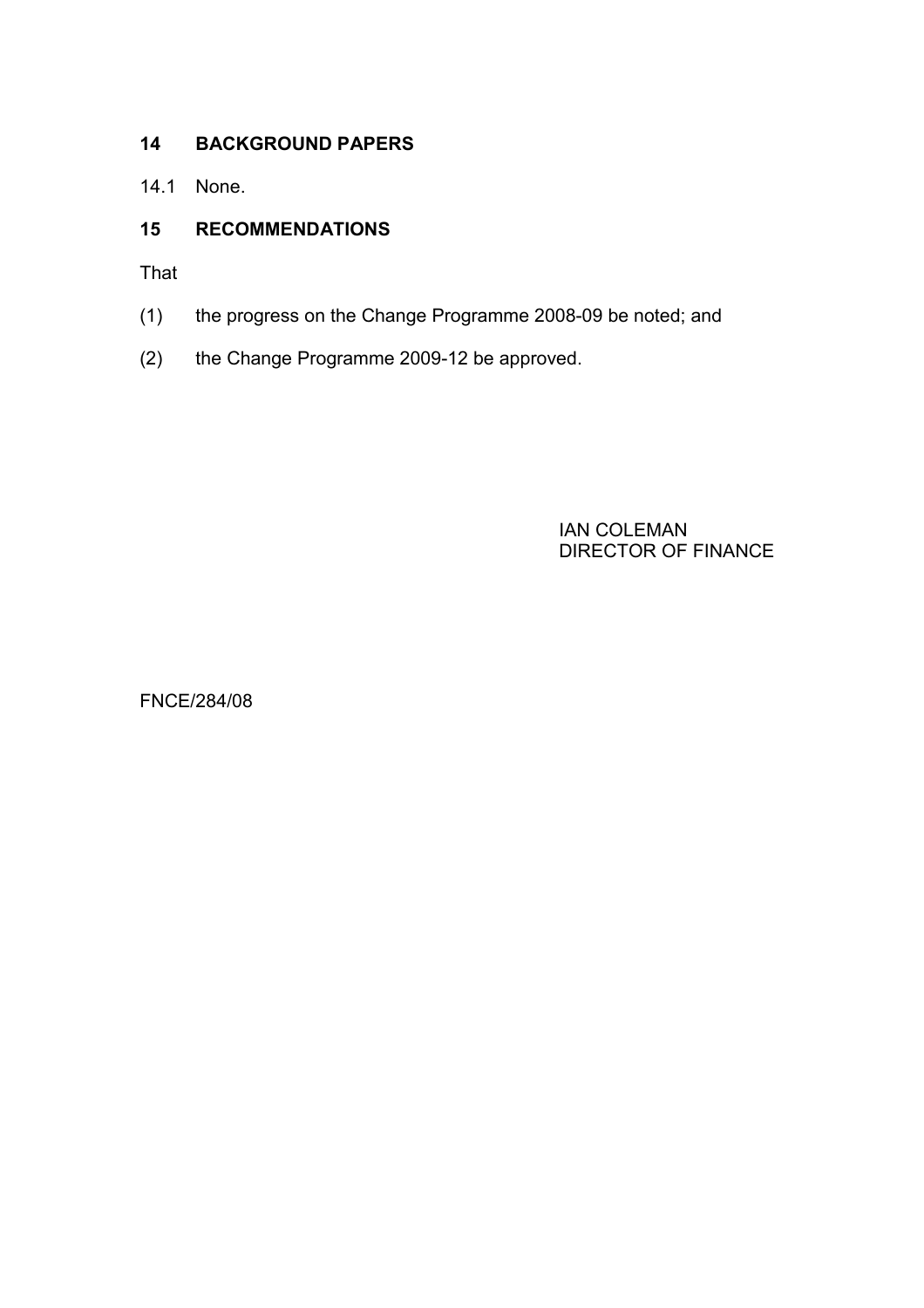# 14 BACKGROUND PAPERS

14.1 None.

# 15 RECOMMENDATIONS

That

- (1) the progress on the Change Programme 2008-09 be noted; and
- (2) the Change Programme 2009-12 be approved.

IAN COLEMAN DIRECTOR OF FINANCE

FNCE/284/08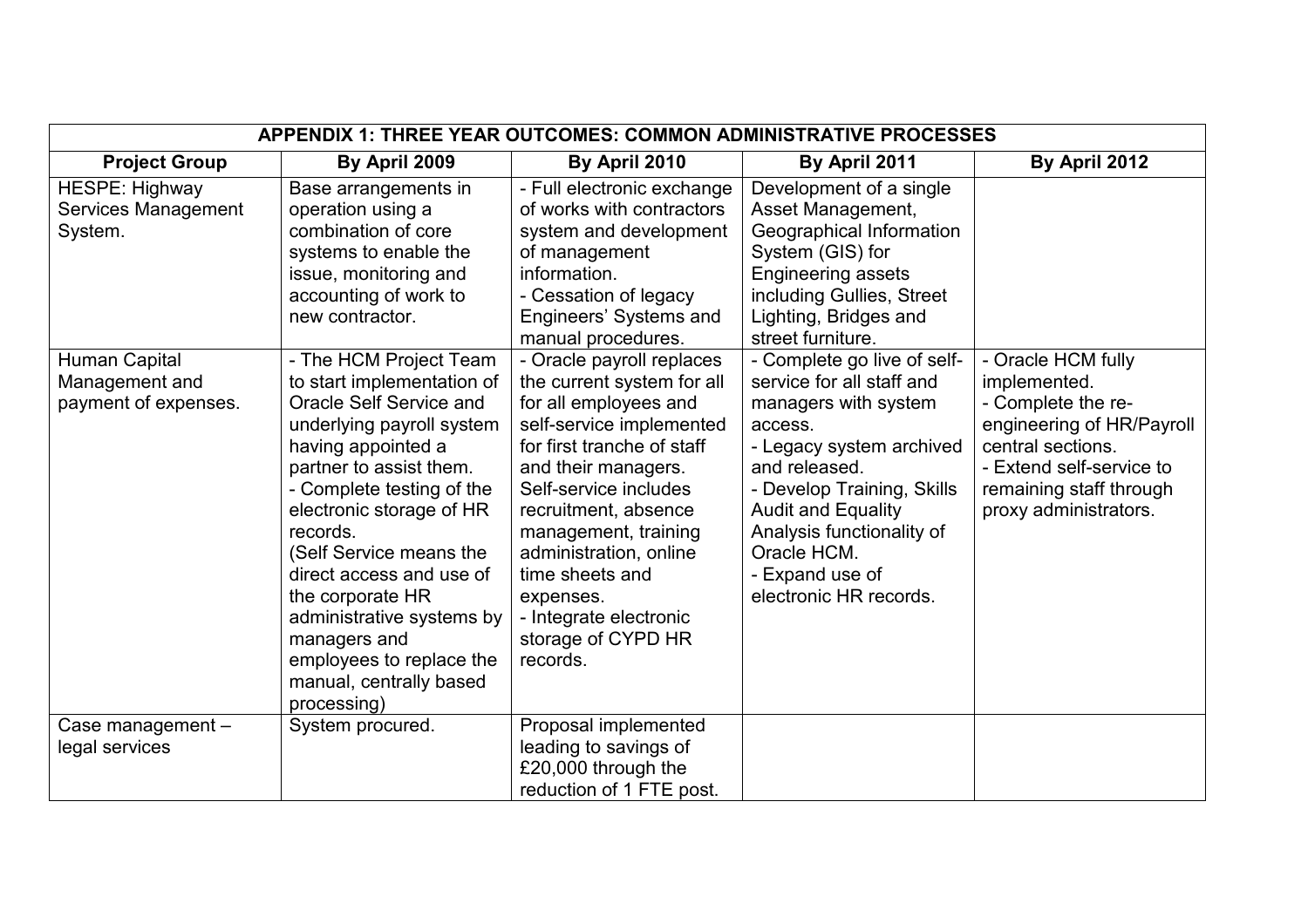|                                                         | APPENDIX 1: THREE YEAR OUTCOMES: COMMON ADMINISTRATIVE PROCESSES                                                                                                                                                                                                                                                                                                                                                                 |                                                                                                                                                                                                                                                                                                                                                                  |                                                                                                                                                                                                                                                                                              |                                                                                                                                                                                            |  |
|---------------------------------------------------------|----------------------------------------------------------------------------------------------------------------------------------------------------------------------------------------------------------------------------------------------------------------------------------------------------------------------------------------------------------------------------------------------------------------------------------|------------------------------------------------------------------------------------------------------------------------------------------------------------------------------------------------------------------------------------------------------------------------------------------------------------------------------------------------------------------|----------------------------------------------------------------------------------------------------------------------------------------------------------------------------------------------------------------------------------------------------------------------------------------------|--------------------------------------------------------------------------------------------------------------------------------------------------------------------------------------------|--|
| <b>Project Group</b>                                    | By April 2009                                                                                                                                                                                                                                                                                                                                                                                                                    | By April 2010                                                                                                                                                                                                                                                                                                                                                    | By April 2011                                                                                                                                                                                                                                                                                | By April 2012                                                                                                                                                                              |  |
| HESPE: Highway<br>Services Management<br>System.        | Base arrangements in<br>operation using a<br>combination of core<br>systems to enable the<br>issue, monitoring and<br>accounting of work to<br>new contractor.                                                                                                                                                                                                                                                                   | - Full electronic exchange<br>of works with contractors<br>system and development<br>of management<br>information.<br>- Cessation of legacy<br>Engineers' Systems and<br>manual procedures.                                                                                                                                                                      | Development of a single<br>Asset Management,<br>Geographical Information<br>System (GIS) for<br><b>Engineering assets</b><br>including Gullies, Street<br>Lighting, Bridges and<br>street furniture.                                                                                         |                                                                                                                                                                                            |  |
| Human Capital<br>Management and<br>payment of expenses. | - The HCM Project Team<br>to start implementation of<br>Oracle Self Service and<br>underlying payroll system<br>having appointed a<br>partner to assist them.<br>- Complete testing of the<br>electronic storage of HR<br>records.<br>(Self Service means the<br>direct access and use of<br>the corporate HR<br>administrative systems by<br>managers and<br>employees to replace the<br>manual, centrally based<br>processing) | - Oracle payroll replaces<br>the current system for all<br>for all employees and<br>self-service implemented<br>for first tranche of staff<br>and their managers.<br>Self-service includes<br>recruitment, absence<br>management, training<br>administration, online<br>time sheets and<br>expenses.<br>- Integrate electronic<br>storage of CYPD HR<br>records. | - Complete go live of self-<br>service for all staff and<br>managers with system<br>access.<br>- Legacy system archived<br>and released.<br>- Develop Training, Skills<br><b>Audit and Equality</b><br>Analysis functionality of<br>Oracle HCM.<br>- Expand use of<br>electronic HR records. | - Oracle HCM fully<br>implemented.<br>- Complete the re-<br>engineering of HR/Payroll<br>central sections.<br>- Extend self-service to<br>remaining staff through<br>proxy administrators. |  |
| Case management -<br>legal services                     | System procured.                                                                                                                                                                                                                                                                                                                                                                                                                 | Proposal implemented<br>leading to savings of<br>£20,000 through the<br>reduction of 1 FTE post.                                                                                                                                                                                                                                                                 |                                                                                                                                                                                                                                                                                              |                                                                                                                                                                                            |  |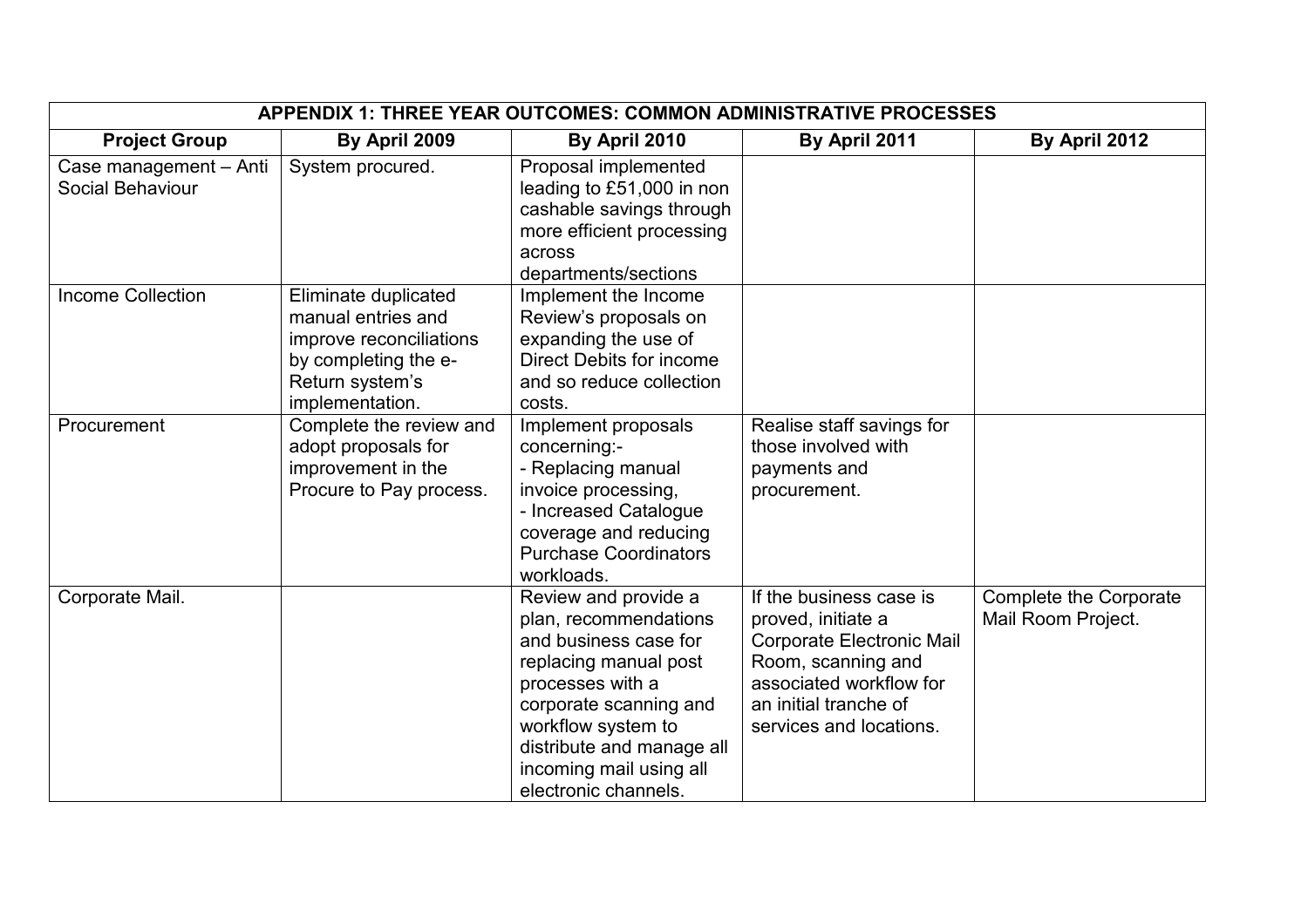| APPENDIX 1: THREE YEAR OUTCOMES: COMMON ADMINISTRATIVE PROCESSES |                                                                                                                                     |                                                                                                                                                                                                                                                     |                                                                                                                                                                                        |                                              |  |
|------------------------------------------------------------------|-------------------------------------------------------------------------------------------------------------------------------------|-----------------------------------------------------------------------------------------------------------------------------------------------------------------------------------------------------------------------------------------------------|----------------------------------------------------------------------------------------------------------------------------------------------------------------------------------------|----------------------------------------------|--|
| <b>Project Group</b>                                             | By April 2009                                                                                                                       | By April 2010                                                                                                                                                                                                                                       | By April 2011                                                                                                                                                                          | By April 2012                                |  |
| Case management - Anti<br>Social Behaviour                       | System procured.                                                                                                                    | Proposal implemented<br>leading to £51,000 in non<br>cashable savings through<br>more efficient processing<br>across<br>departments/sections                                                                                                        |                                                                                                                                                                                        |                                              |  |
| <b>Income Collection</b>                                         | Eliminate duplicated<br>manual entries and<br>improve reconciliations<br>by completing the e-<br>Return system's<br>implementation. | Implement the Income<br>Review's proposals on<br>expanding the use of<br><b>Direct Debits for income</b><br>and so reduce collection<br>costs.                                                                                                      |                                                                                                                                                                                        |                                              |  |
| Procurement                                                      | Complete the review and<br>adopt proposals for<br>improvement in the<br>Procure to Pay process.                                     | Implement proposals<br>concerning:-<br>- Replacing manual<br>invoice processing,<br>- Increased Catalogue<br>coverage and reducing<br><b>Purchase Coordinators</b><br>workloads.                                                                    | Realise staff savings for<br>those involved with<br>payments and<br>procurement.                                                                                                       |                                              |  |
| Corporate Mail.                                                  |                                                                                                                                     | Review and provide a<br>plan, recommendations<br>and business case for<br>replacing manual post<br>processes with a<br>corporate scanning and<br>workflow system to<br>distribute and manage all<br>incoming mail using all<br>electronic channels. | If the business case is<br>proved, initiate a<br><b>Corporate Electronic Mail</b><br>Room, scanning and<br>associated workflow for<br>an initial tranche of<br>services and locations. | Complete the Corporate<br>Mail Room Project. |  |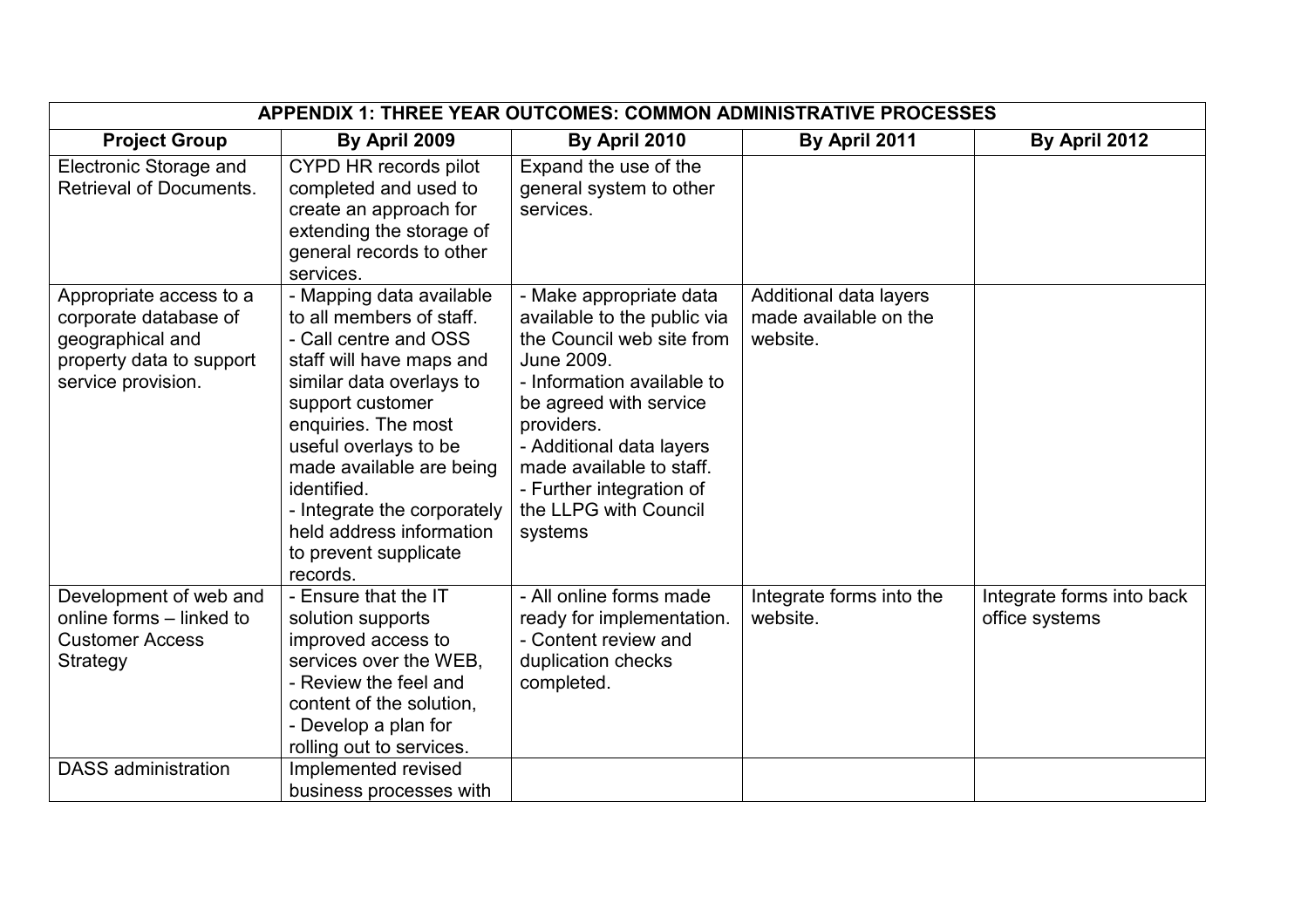| <b>APPENDIX 1: THREE YEAR OUTCOMES: COMMON ADMINISTRATIVE PROCESSES</b>                                                |                                                                                                                                                                                                                                                                                                                                                                   |                                                                                                                                                                                                                                                                                                 |                                                             |                                             |
|------------------------------------------------------------------------------------------------------------------------|-------------------------------------------------------------------------------------------------------------------------------------------------------------------------------------------------------------------------------------------------------------------------------------------------------------------------------------------------------------------|-------------------------------------------------------------------------------------------------------------------------------------------------------------------------------------------------------------------------------------------------------------------------------------------------|-------------------------------------------------------------|---------------------------------------------|
| <b>Project Group</b>                                                                                                   | By April 2009                                                                                                                                                                                                                                                                                                                                                     | By April 2010                                                                                                                                                                                                                                                                                   | By April 2011                                               | By April 2012                               |
| Electronic Storage and<br>Retrieval of Documents.                                                                      | CYPD HR records pilot<br>completed and used to<br>create an approach for<br>extending the storage of<br>general records to other                                                                                                                                                                                                                                  | Expand the use of the<br>general system to other<br>services.                                                                                                                                                                                                                                   |                                                             |                                             |
| Appropriate access to a<br>corporate database of<br>geographical and<br>property data to support<br>service provision. | services.<br>- Mapping data available<br>to all members of staff.<br>- Call centre and OSS<br>staff will have maps and<br>similar data overlays to<br>support customer<br>enquiries. The most<br>useful overlays to be<br>made available are being<br>identified.<br>- Integrate the corporately<br>held address information<br>to prevent supplicate<br>records. | - Make appropriate data<br>available to the public via<br>the Council web site from<br>June 2009.<br>- Information available to<br>be agreed with service<br>providers.<br>- Additional data layers<br>made available to staff.<br>- Further integration of<br>the LLPG with Council<br>systems | Additional data layers<br>made available on the<br>website. |                                             |
| Development of web and<br>online forms - linked to<br><b>Customer Access</b><br>Strategy                               | - Ensure that the IT<br>solution supports<br>improved access to<br>services over the WEB,<br>- Review the feel and<br>content of the solution,<br>- Develop a plan for<br>rolling out to services.                                                                                                                                                                | - All online forms made<br>ready for implementation.<br>- Content review and<br>duplication checks<br>completed.                                                                                                                                                                                | Integrate forms into the<br>website.                        | Integrate forms into back<br>office systems |
| <b>DASS</b> administration                                                                                             | Implemented revised<br>business processes with                                                                                                                                                                                                                                                                                                                    |                                                                                                                                                                                                                                                                                                 |                                                             |                                             |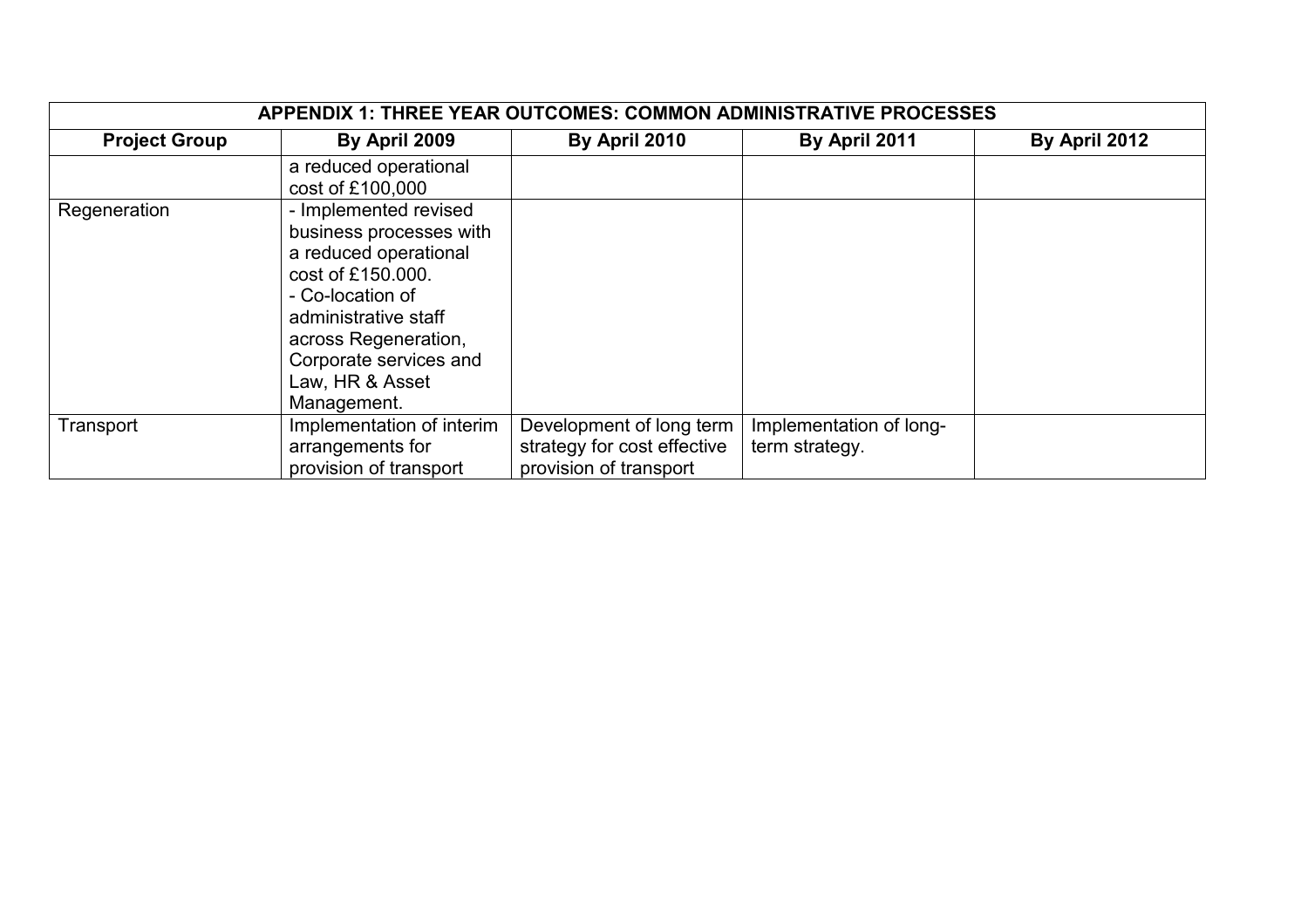| APPENDIX 1: THREE YEAR OUTCOMES: COMMON ADMINISTRATIVE PROCESSES |                                                                                                                                                                                                                                |                                                                                   |                                           |               |  |
|------------------------------------------------------------------|--------------------------------------------------------------------------------------------------------------------------------------------------------------------------------------------------------------------------------|-----------------------------------------------------------------------------------|-------------------------------------------|---------------|--|
| <b>Project Group</b>                                             | By April 2009                                                                                                                                                                                                                  | By April 2010                                                                     | By April 2011                             | By April 2012 |  |
|                                                                  | a reduced operational<br>cost of £100,000                                                                                                                                                                                      |                                                                                   |                                           |               |  |
| Regeneration                                                     | - Implemented revised<br>business processes with<br>a reduced operational<br>cost of £150,000.<br>- Co-location of<br>administrative staff<br>across Regeneration,<br>Corporate services and<br>Law, HR & Asset<br>Management. |                                                                                   |                                           |               |  |
| Transport                                                        | Implementation of interim<br>arrangements for<br>provision of transport                                                                                                                                                        | Development of long term<br>strategy for cost effective<br>provision of transport | Implementation of long-<br>term strategy. |               |  |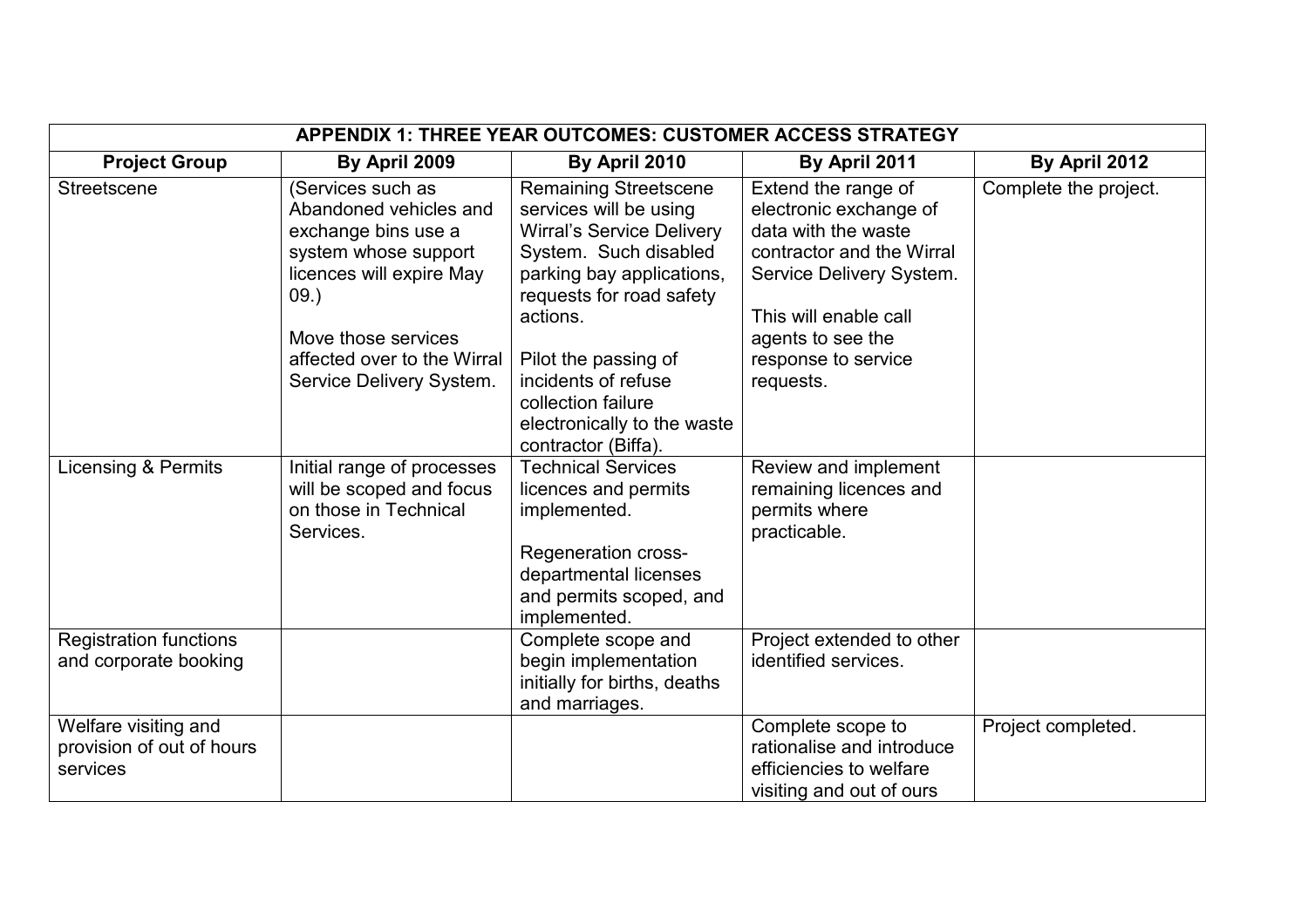| APPENDIX 1: THREE YEAR OUTCOMES: CUSTOMER ACCESS STRATEGY     |                                                                                                                                                                                                                 |                                                                                                                                                                                                                                                                                                                     |                                                                                                                                                                                                                 |                       |  |
|---------------------------------------------------------------|-----------------------------------------------------------------------------------------------------------------------------------------------------------------------------------------------------------------|---------------------------------------------------------------------------------------------------------------------------------------------------------------------------------------------------------------------------------------------------------------------------------------------------------------------|-----------------------------------------------------------------------------------------------------------------------------------------------------------------------------------------------------------------|-----------------------|--|
| <b>Project Group</b>                                          | By April 2009                                                                                                                                                                                                   | By April 2010                                                                                                                                                                                                                                                                                                       | By April 2011                                                                                                                                                                                                   | By April 2012         |  |
| Streetscene                                                   | (Services such as<br>Abandoned vehicles and<br>exchange bins use a<br>system whose support<br>licences will expire May<br>09.<br>Move those services<br>affected over to the Wirral<br>Service Delivery System. | <b>Remaining Streetscene</b><br>services will be using<br><b>Wirral's Service Delivery</b><br>System. Such disabled<br>parking bay applications,<br>requests for road safety<br>actions.<br>Pilot the passing of<br>incidents of refuse<br>collection failure<br>electronically to the waste<br>contractor (Biffa). | Extend the range of<br>electronic exchange of<br>data with the waste<br>contractor and the Wirral<br>Service Delivery System.<br>This will enable call<br>agents to see the<br>response to service<br>requests. | Complete the project. |  |
| Licensing & Permits                                           | Initial range of processes<br>will be scoped and focus<br>on those in Technical<br>Services.                                                                                                                    | <b>Technical Services</b><br>licences and permits<br>implemented.<br>Regeneration cross-<br>departmental licenses<br>and permits scoped, and<br>implemented.                                                                                                                                                        | Review and implement<br>remaining licences and<br>permits where<br>practicable.                                                                                                                                 |                       |  |
| <b>Registration functions</b><br>and corporate booking        |                                                                                                                                                                                                                 | Complete scope and<br>begin implementation<br>initially for births, deaths<br>and marriages.                                                                                                                                                                                                                        | Project extended to other<br>identified services.                                                                                                                                                               |                       |  |
| Welfare visiting and<br>provision of out of hours<br>services |                                                                                                                                                                                                                 |                                                                                                                                                                                                                                                                                                                     | Complete scope to<br>rationalise and introduce<br>efficiencies to welfare<br>visiting and out of ours                                                                                                           | Project completed.    |  |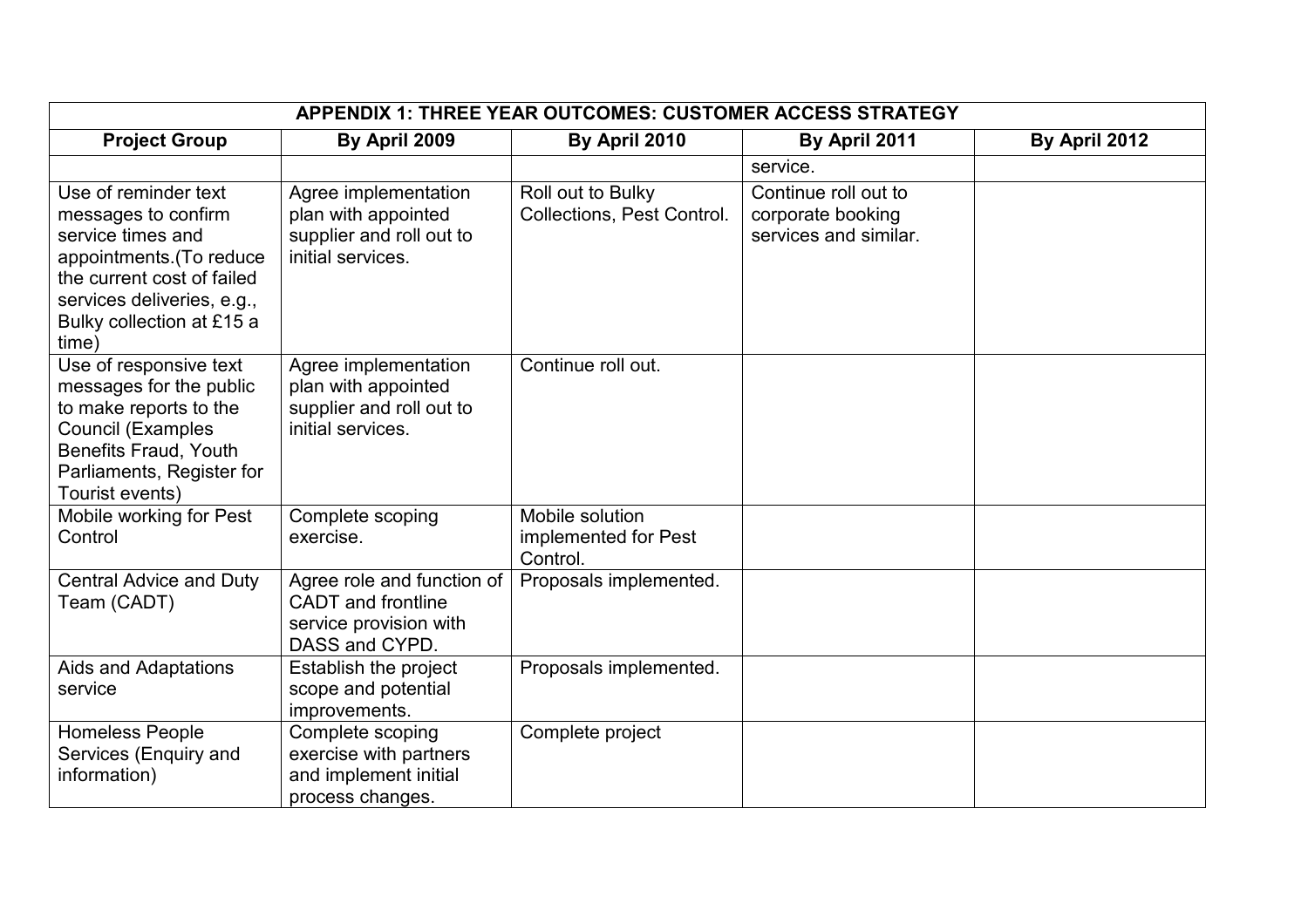| <b>APPENDIX 1: THREE YEAR OUTCOMES: CUSTOMER ACCESS STRATEGY</b>                                                                                                                               |                                                                                                     |                                                        |                                                                    |               |
|------------------------------------------------------------------------------------------------------------------------------------------------------------------------------------------------|-----------------------------------------------------------------------------------------------------|--------------------------------------------------------|--------------------------------------------------------------------|---------------|
| <b>Project Group</b>                                                                                                                                                                           | By April 2009                                                                                       | By April 2010                                          | By April 2011                                                      | By April 2012 |
|                                                                                                                                                                                                |                                                                                                     |                                                        | service.                                                           |               |
| Use of reminder text<br>messages to confirm<br>service times and<br>appointments. (To reduce<br>the current cost of failed<br>services deliveries, e.g.,<br>Bulky collection at £15 a<br>time) | Agree implementation<br>plan with appointed<br>supplier and roll out to<br>initial services.        | Roll out to Bulky<br><b>Collections, Pest Control.</b> | Continue roll out to<br>corporate booking<br>services and similar. |               |
| Use of responsive text<br>messages for the public<br>to make reports to the<br><b>Council (Examples</b><br>Benefits Fraud, Youth<br>Parliaments, Register for<br>Tourist events)               | Agree implementation<br>plan with appointed<br>supplier and roll out to<br>initial services.        | Continue roll out.                                     |                                                                    |               |
| Mobile working for Pest<br>Control                                                                                                                                                             | Complete scoping<br>exercise.                                                                       | Mobile solution<br>implemented for Pest<br>Control.    |                                                                    |               |
| <b>Central Advice and Duty</b><br>Team (CADT)                                                                                                                                                  | Agree role and function of<br><b>CADT</b> and frontline<br>service provision with<br>DASS and CYPD. | Proposals implemented.                                 |                                                                    |               |
| Aids and Adaptations<br>service                                                                                                                                                                | Establish the project<br>scope and potential<br>improvements.                                       | Proposals implemented.                                 |                                                                    |               |
| <b>Homeless People</b><br>Services (Enquiry and<br>information)                                                                                                                                | Complete scoping<br>exercise with partners<br>and implement initial<br>process changes.             | Complete project                                       |                                                                    |               |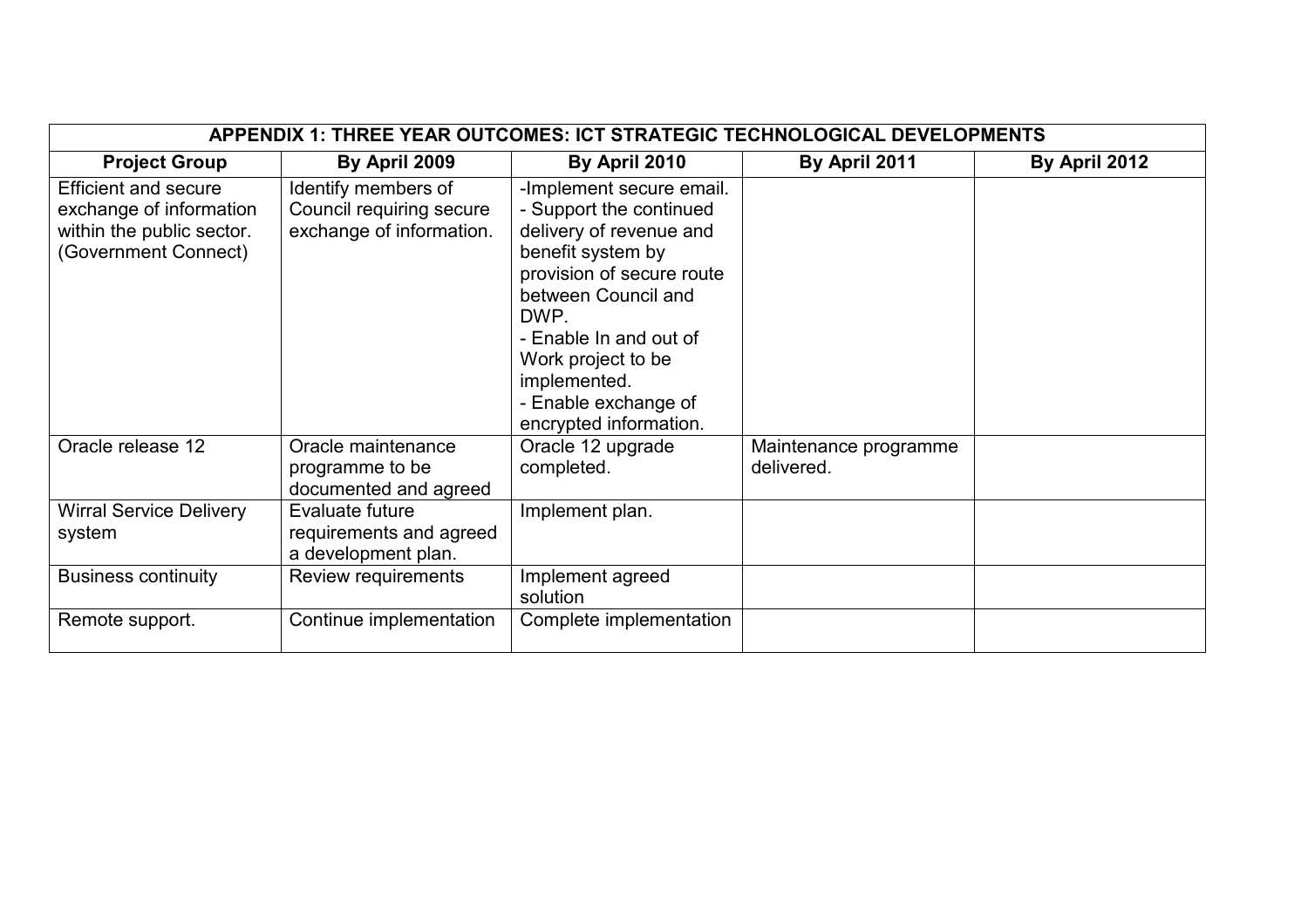|                                                                                                             | APPENDIX 1: THREE YEAR OUTCOMES: ICT STRATEGIC TECHNOLOGICAL DEVELOPMENTS   |                                                                                                                                                                                                                                                                                   |                                     |               |  |  |
|-------------------------------------------------------------------------------------------------------------|-----------------------------------------------------------------------------|-----------------------------------------------------------------------------------------------------------------------------------------------------------------------------------------------------------------------------------------------------------------------------------|-------------------------------------|---------------|--|--|
| <b>Project Group</b>                                                                                        | By April 2009                                                               | By April 2010                                                                                                                                                                                                                                                                     | By April 2011                       | By April 2012 |  |  |
| <b>Efficient and secure</b><br>exchange of information<br>within the public sector.<br>(Government Connect) | Identify members of<br>Council requiring secure<br>exchange of information. | -Implement secure email.<br>- Support the continued<br>delivery of revenue and<br>benefit system by<br>provision of secure route<br>between Council and<br>DWP.<br>- Enable In and out of<br>Work project to be<br>implemented.<br>- Enable exchange of<br>encrypted information. |                                     |               |  |  |
| Oracle release 12                                                                                           | Oracle maintenance<br>programme to be<br>documented and agreed              | Oracle 12 upgrade<br>completed.                                                                                                                                                                                                                                                   | Maintenance programme<br>delivered. |               |  |  |
| <b>Wirral Service Delivery</b><br>system                                                                    | Evaluate future<br>requirements and agreed<br>a development plan.           | Implement plan.                                                                                                                                                                                                                                                                   |                                     |               |  |  |
| <b>Business continuity</b>                                                                                  | Review requirements                                                         | Implement agreed<br>solution                                                                                                                                                                                                                                                      |                                     |               |  |  |
| Remote support.                                                                                             | Continue implementation                                                     | Complete implementation                                                                                                                                                                                                                                                           |                                     |               |  |  |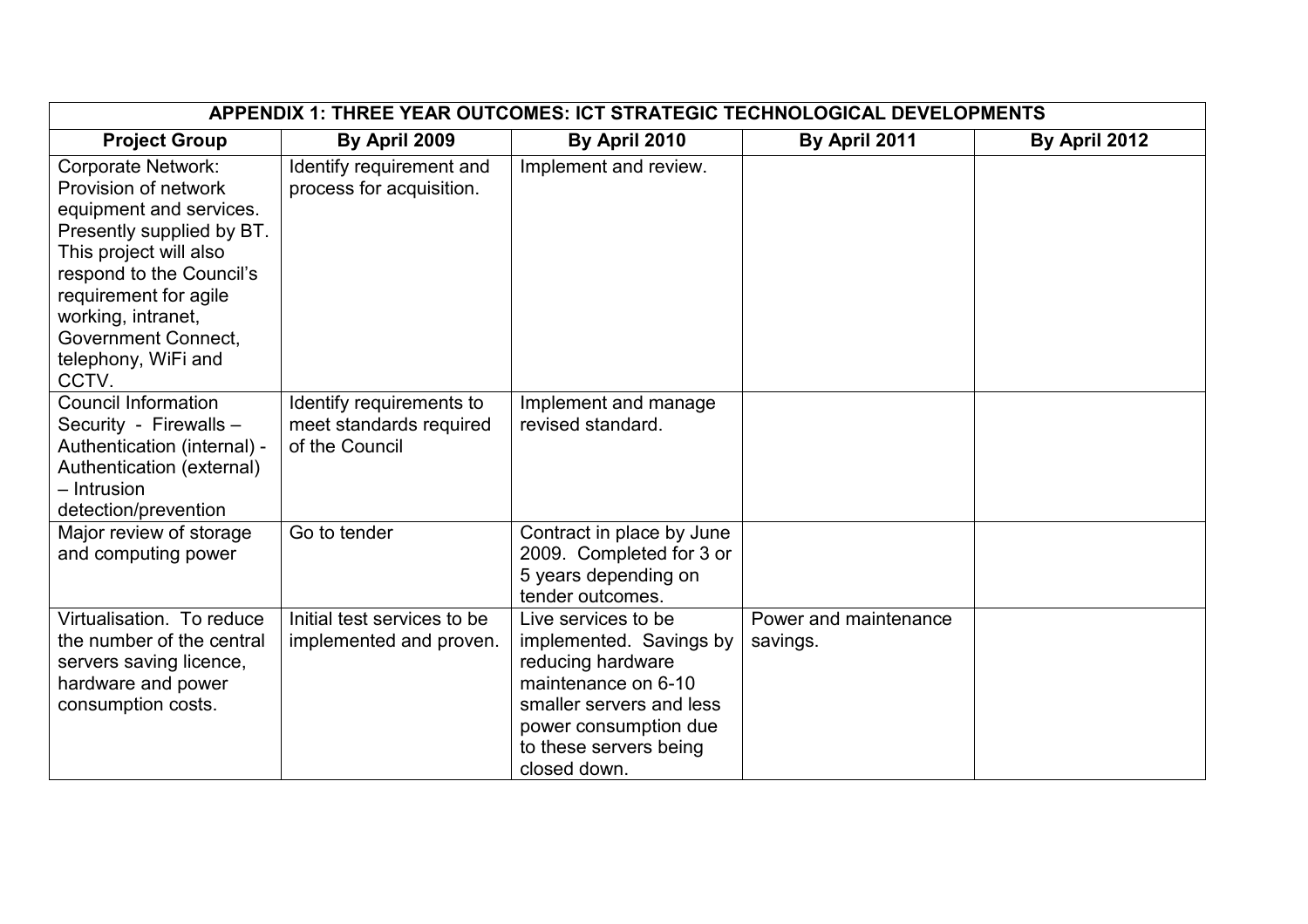| APPENDIX 1: THREE YEAR OUTCOMES: ICT STRATEGIC TECHNOLOGICAL DEVELOPMENTS                                                                                                                                                                                                    |                                                                       |                                                                                                                                                                                           |                                   |               |  |  |  |
|------------------------------------------------------------------------------------------------------------------------------------------------------------------------------------------------------------------------------------------------------------------------------|-----------------------------------------------------------------------|-------------------------------------------------------------------------------------------------------------------------------------------------------------------------------------------|-----------------------------------|---------------|--|--|--|
| <b>Project Group</b>                                                                                                                                                                                                                                                         | By April 2009                                                         | By April 2010                                                                                                                                                                             | By April 2011                     | By April 2012 |  |  |  |
| <b>Corporate Network:</b><br>Provision of network<br>equipment and services.<br>Presently supplied by BT.<br>This project will also<br>respond to the Council's<br>requirement for agile<br>working, intranet,<br><b>Government Connect.</b><br>telephony, WiFi and<br>CCTV. | Identify requirement and<br>process for acquisition.                  | Implement and review.                                                                                                                                                                     |                                   |               |  |  |  |
| <b>Council Information</b><br>Security - Firewalls -<br>Authentication (internal) -<br>Authentication (external)<br>- Intrusion<br>detection/prevention                                                                                                                      | Identify requirements to<br>meet standards required<br>of the Council | Implement and manage<br>revised standard.                                                                                                                                                 |                                   |               |  |  |  |
| Major review of storage<br>and computing power                                                                                                                                                                                                                               | Go to tender                                                          | Contract in place by June<br>2009. Completed for 3 or<br>5 years depending on<br>tender outcomes.                                                                                         |                                   |               |  |  |  |
| Virtualisation. To reduce<br>the number of the central<br>servers saving licence,<br>hardware and power<br>consumption costs.                                                                                                                                                | Initial test services to be<br>implemented and proven.                | Live services to be<br>implemented. Savings by<br>reducing hardware<br>maintenance on 6-10<br>smaller servers and less<br>power consumption due<br>to these servers being<br>closed down. | Power and maintenance<br>savings. |               |  |  |  |